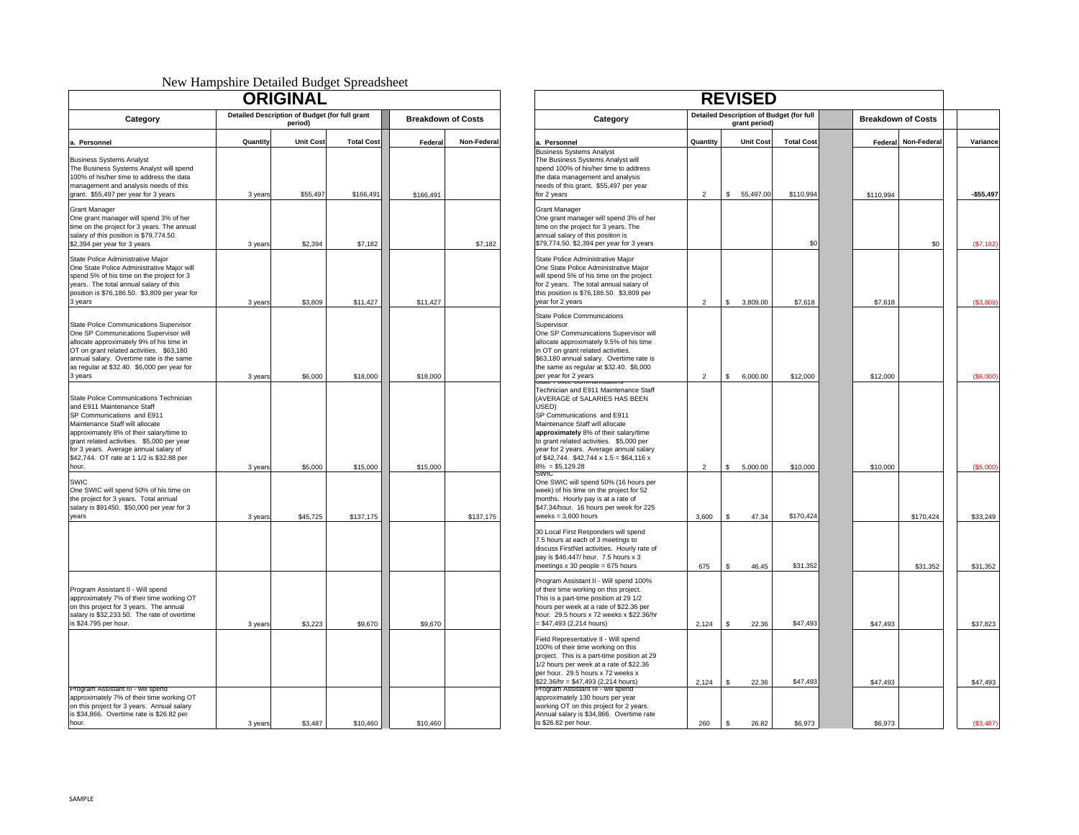#### New Hampshire Detailed Budget Spreadsheet

|                                                                                                                                                                                                                                                                                                                       |          | <b>ORIGINAL</b>                                           |                   |                           |             |
|-----------------------------------------------------------------------------------------------------------------------------------------------------------------------------------------------------------------------------------------------------------------------------------------------------------------------|----------|-----------------------------------------------------------|-------------------|---------------------------|-------------|
| Category                                                                                                                                                                                                                                                                                                              |          | Detailed Description of Budget (for full grant<br>period) |                   | <b>Breakdown of Costs</b> |             |
| a. Personnel                                                                                                                                                                                                                                                                                                          | Quantity | <b>Unit Cost</b>                                          | <b>Total Cost</b> | Federal                   | Non-Federal |
| <b>Business Systems Analyst</b><br>The Business Systems Analyst will spend<br>100% of his/her time to address the data<br>management and analysis needs of this<br>grant. \$55,497 per year for 3 years                                                                                                               | 3 years  | \$55,497                                                  | \$166,491         | \$166,491                 |             |
| <b>Grant Manager</b><br>One grant manager will spend 3% of her<br>time on the project for 3 years. The annual<br>salary of this position is \$79,774.50.<br>\$2,394 per year for 3 years                                                                                                                              | 3 years  | \$2,394                                                   | \$7,182           |                           | \$7,182     |
| State Police Administrative Major<br>One State Police Administrative Major will<br>spend 5% of his time on the project for 3<br>years. The total annual salary of this<br>position is \$76,186.50. \$3,809 per year for<br>3 years                                                                                    | 3 years  | \$3,809                                                   | \$11,427          | \$11,427                  |             |
| State Police Communications Supervisor<br>One SP Communications Supervisor will<br>allocate approximately 9% of his time in<br>OT on grant related activities. \$63,180<br>annual salary. Overtime rate is the same<br>as regular at \$32.40. \$6,000 per year for<br>3 years                                         | 3 years  | \$6,000                                                   | \$18,000          | \$18,000                  |             |
| State Police Communications Technician<br>and E911 Maintenance Staff<br>SP Communications and E911<br>Maintenance Staff will allocate<br>approximately 8% of their salary/time to<br>grant related activities. \$5,000 per year<br>for 3 years. Average annual salary of<br>\$42,744. OT rate at 1 1/2 is \$32.88 per |          |                                                           |                   |                           |             |
| hour.                                                                                                                                                                                                                                                                                                                 | 3 years  | \$5,000                                                   | \$15,000          | \$15,000                  |             |
| SWIC<br>One SWIC will spend 50% of his time on<br>the project for 3 years. Total annual<br>salary is \$91450. \$50,000 per year for 3<br>years                                                                                                                                                                        | 3 years  | \$45,725                                                  | \$137,175         |                           | \$137,175   |
| Program Assistant II - Will spend<br>approximately 7% of their time working OT<br>on this project for 3 years. The annual<br>salary is \$32,233.50. The rate of overtime                                                                                                                                              |          |                                                           |                   |                           |             |
| is \$24.795 per hour.                                                                                                                                                                                                                                                                                                 | 3 years  | \$3,223                                                   | \$9,670           | \$9,670                   |             |
| Program Assistant III - will spend<br>approximately 7% of their time working OT<br>on this project for 3 years. Annual salary<br>is \$34,866. Overtime rate is \$26.82 per<br>hour.                                                                                                                                   | 3 years  | \$3,487                                                   | \$10,460          | \$10,460                  |             |

|                                                                                                                                                                                                                  | Then Thumponne Beamed Budget Spreadoneet | <b>ORIGINAL</b>              |                                |                           |             |                                                                                                                                                                                                                                                                                                                                                   |                | <b>REVISED</b>                   |                                |                      |            |                          |
|------------------------------------------------------------------------------------------------------------------------------------------------------------------------------------------------------------------|------------------------------------------|------------------------------|--------------------------------|---------------------------|-------------|---------------------------------------------------------------------------------------------------------------------------------------------------------------------------------------------------------------------------------------------------------------------------------------------------------------------------------------------------|----------------|----------------------------------|--------------------------------|----------------------|------------|--------------------------|
| Detailed Description of Budget (for full grant                                                                                                                                                                   |                                          |                              |                                |                           |             | <b>Detailed Description of Budget (for full</b>                                                                                                                                                                                                                                                                                                   |                |                                  | <b>Breakdown of Costs</b>      |                      |            |                          |
| Category                                                                                                                                                                                                         |                                          | period)                      |                                | <b>Breakdown of Costs</b> |             | Category                                                                                                                                                                                                                                                                                                                                          |                | grant period)                    |                                |                      |            |                          |
| tems Analyst<br>Systems Analyst will spend<br>er time to address the data<br>and analysis needs of this<br>7 per year for 3 years                                                                                | Quantity<br>3 years                      | <b>Unit Cost</b><br>\$55.497 | <b>Total Cost</b><br>\$166,491 | Federal<br>\$166,491      | Non-Federal | a. Personnel<br><b>Business Systems Analyst</b><br>The Business Systems Analyst will<br>spend 100% of his/her time to address<br>the data management and analysis<br>needs of this grant. \$55,497 per year<br>for 2 years                                                                                                                        | Quantity<br>2  | <b>Unit Cost</b><br>\$ 55,497.00 | <b>Total Cost</b><br>\$110,994 | Federal<br>\$110,994 | Non-Federa | Variance<br>$-$ \$55.497 |
| er<br>nager will spend 3% of her<br>roject for 3 years. The annual<br>position is \$79,774.50.<br>ar for 3 years                                                                                                 | 3 years                                  | \$2,394                      | \$7,182                        |                           | \$7,182     | <b>Grant Manager</b><br>One grant manager will spend 3% of her<br>time on the project for 3 years. The<br>annual salary of this position is<br>\$79,774.50. \$2,394 per year for 3 years                                                                                                                                                          |                |                                  | \$0                            |                      | \$0        | (S7, 182)                |
| Administrative Major<br>lice Administrative Major will<br>his time on the project for 3<br>tal annual salary of this<br>6,186.50. \$3,809 per year for                                                           | 3 years                                  | \$3,809                      | \$11,427                       | \$11,427                  |             | State Police Administrative Major<br>One State Police Administrative Major<br>will spend 5% of his time on the project<br>for 2 years. The total annual salary of<br>this position is \$76,186.50. \$3,809 per<br>year for 2 years                                                                                                                | $\overline{2}$ | 3,809.00<br>-S.                  | \$7,618                        | \$7,618              |            | (\$3,809)                |
| Communications Supervisor<br>munications Supervisor will<br>oximately 9% of his time in<br>elated activities. \$63,180<br>. Overtime rate is the same<br>\$32.40. \$6,000 per year for                           | 3 years                                  | \$6,000                      | \$18,000                       | \$18,000                  |             | <b>State Police Communications</b><br>Supervisor<br>One SP Communications Supervisor will<br>allocate approximately 9.5% of his time<br>in OT on grant related activities.<br>\$63,180 annual salary. Overtime rate is<br>the same as regular at \$32.40. \$6,000<br>per year for 2 years                                                         | $\overline{2}$ | 6,000.00<br>\$                   | \$12,000                       | \$12,000             |            | $($ \$6,000 $)$          |
| Communications Technician<br>intenance Staff<br>cations and E911<br>Staff will allocate<br>8% of their salary/time to<br>activities. \$5,000 per year<br>verage annual salary of<br>rate at 1 1/2 is \$32.88 per | 3 years                                  | \$5,000                      | \$15,000                       | \$15,000                  |             | Technician and E911 Maintenance Staff<br>(AVERAGE of SALARIES HAS BEEN<br>USED)<br>SP Communications and E911<br>Maintenance Staff will allocate<br>approximately 8% of their salary/time<br>to grant related activities. \$5,000 per<br>year for 2 years. Average annual salary<br>of \$42,744. \$42,744 x 1.5 = \$64,116 x<br>$8\% = $5,129.28$ | 2              | $\mathsf{s}$<br>5,000.00         | \$10,000                       | \$10,000             |            | (\$5,000)                |
| Il spend 50% of his time on<br>3 years. Total annual<br>50. \$50,000 per year for 3                                                                                                                              | 3 years                                  | \$45,725                     | \$137,175                      |                           | \$137,175   | One SWIC will spend 50% (16 hours per<br>week) of his time on the project for 52<br>months. Hourly pay is at a rate of<br>\$47.34/hour. 16 hours per week for 225<br>weeks = $3,600$ hours                                                                                                                                                        | 3,600          | 47.34<br>$\mathbf{\hat{z}}$      | \$170,424                      |                      | \$170,424  | \$33,249                 |
|                                                                                                                                                                                                                  |                                          |                              |                                |                           |             | 30 Local First Responders will spend<br>7.5 hours at each of 3 meetings to<br>discuss FirstNet activities. Hourly rate of<br>pay is \$46.447/ hour. 7.5 hours x 3<br>meetings x 30 people = 675 hours                                                                                                                                             | 675            | s.<br>46.45                      | \$31,352                       |                      | \$31,352   | \$31,352                 |
| stant II - Will spend<br>7% of their time working OT<br>t for 3 years. The annual<br>233.50. The rate of overtime<br>r hour.                                                                                     | 3 years                                  | \$3,223                      | \$9,670                        | \$9,670                   |             | Program Assistant II - Will spend 100%<br>of their time working on this project.<br>This is a part-time position at 29 1/2<br>hours per week at a rate of \$22.36 per<br>hour. 29.5 hours x 72 weeks x \$22.36/hr<br>$= $47,493 (2,214 hours)$                                                                                                    | 2,124          | \$<br>22.36                      | \$47,493                       | \$47,493             |            | \$37,823                 |
|                                                                                                                                                                                                                  |                                          |                              |                                |                           |             | Field Representative II - Will spend<br>100% of their time working on this<br>project. This is a part-time position at 29<br>1/2 hours per week at a rate of \$22.36<br>per hour. 29.5 hours x 72 weeks x<br>\$22.36/hr = \$47,493 (2,214 hours)                                                                                                  | 2,124          | \$<br>22.36                      | \$47,493                       | \$47,493             |            | \$47,493                 |
| stant III - will spend<br>7% of their time working OT<br>t for 3 years. Annual salary<br>vertime rate is \$26.82 per                                                                                             | 3 years                                  | \$3,487                      | \$10,460                       | \$10,460                  |             | Program Assistant III - Will spend<br>approximately 130 hours per year<br>working OT on this project for 2 years.<br>Annual salary is \$34,866. Overtime rate<br>is \$26.82 per hour.                                                                                                                                                             | 260            | 26.82<br>S.                      | \$6,973                        | \$6,973              |            | (S3.487)                 |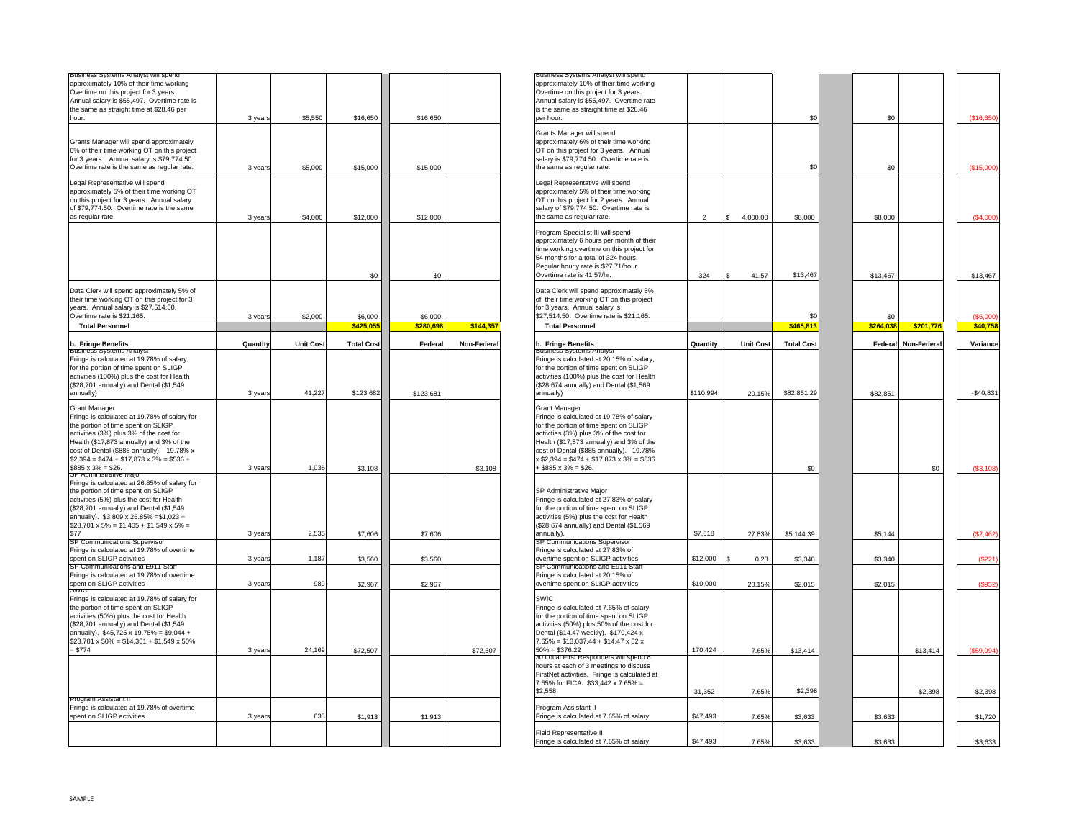| Business Systems Analyst will spend                                                      |          |                  |                   |           |             |
|------------------------------------------------------------------------------------------|----------|------------------|-------------------|-----------|-------------|
| approximately 10% of their time working                                                  |          |                  |                   |           |             |
| Overtime on this project for 3 years.                                                    |          |                  |                   |           |             |
| Annual salary is \$55,497. Overtime rate is                                              |          |                  |                   |           |             |
| the same as straight time at \$28.46 per                                                 |          |                  |                   |           |             |
| hour.                                                                                    | 3 years  | \$5,550          | \$16,650          | \$16,650  |             |
|                                                                                          |          |                  |                   |           |             |
|                                                                                          |          |                  |                   |           |             |
| Grants Manager will spend approximately                                                  |          |                  |                   |           |             |
| 6% of their time working OT on this project                                              |          |                  |                   |           |             |
| for 3 years. Annual salary is \$79,774.50.                                               |          |                  |                   |           |             |
| Overtime rate is the same as regular rate.                                               | 3 years  | \$5,000          | \$15,000          | \$15,000  |             |
|                                                                                          |          |                  |                   |           |             |
| Legal Representative will spend                                                          |          |                  |                   |           |             |
| approximately 5% of their time working OT                                                |          |                  |                   |           |             |
| on this project for 3 years. Annual salary                                               |          |                  |                   |           |             |
| of \$79,774.50. Overtime rate is the same                                                |          |                  |                   |           |             |
| as regular rate.                                                                         | 3 years  | \$4,000          | \$12,000          | \$12,000  |             |
|                                                                                          |          |                  |                   |           |             |
|                                                                                          |          |                  |                   |           |             |
|                                                                                          |          |                  | \$0               | \$0       |             |
| Data Clerk will spend approximately 5% of<br>their time working OT on this project for 3 |          |                  |                   |           |             |
| years. Annual salary is \$27,514.50.                                                     |          |                  |                   |           |             |
| Overtime rate is \$21.165.                                                               | 3 years  | \$2,000          | \$6,000           | \$6,000   |             |
| <b>Total Personnel</b>                                                                   |          |                  | \$425.055         | \$280.698 | \$144.357   |
|                                                                                          | Quantity | <b>Unit Cost</b> | <b>Total Cost</b> | Federal   | Non-Federal |
| b. Fringe Benefits<br><b>BUS</b><br>/siems Anaivs                                        |          |                  |                   |           |             |
| Fringe is calculated at 19.78% of salary,                                                |          |                  |                   |           |             |
| for the portion of time spent on SLIGP                                                   |          |                  |                   |           |             |
| activities (100%) plus the cost for Health                                               |          |                  |                   |           |             |
|                                                                                          |          |                  |                   |           |             |
| (\$28,701 annually) and Dental (\$1,549                                                  |          |                  | \$123,682         |           |             |
| annually)                                                                                | 3 years  | 41,227           |                   | \$123,681 |             |
| <b>Grant Manager</b>                                                                     |          |                  |                   |           |             |
| Fringe is calculated at 19.78% of salary for                                             |          |                  |                   |           |             |
| the portion of time spent on SLIGP                                                       |          |                  |                   |           |             |
| activities (3%) plus 3% of the cost for                                                  |          |                  |                   |           |             |
|                                                                                          |          |                  |                   |           |             |
| Health (\$17,873 annually) and 3% of the                                                 |          |                  |                   |           |             |
| cost of Dental (\$885 annually). 19.78% x                                                |          |                  |                   |           |             |
| $$2,394 = $474 + $17,873 \times 3\% = $536 +$                                            |          |                  |                   |           |             |
| $$885 \times 3\% = $26$ .                                                                | 3 years  | 1,036            | \$3,108           |           | \$3,108     |
| or Administrative Major                                                                  |          |                  |                   |           |             |
| Fringe is calculated at 26.85% of salary for                                             |          |                  |                   |           |             |
| the portion of time spent on SLIGP                                                       |          |                  |                   |           |             |
| activities (5%) plus the cost for Health                                                 |          |                  |                   |           |             |
| (\$28,701 annually) and Dental (\$1,549                                                  |          |                  |                   |           |             |
| annually). \$3,809 x 26.85% = \$1,023 +                                                  |          |                  |                   |           |             |
| $$28,701 \times 5\% = $1,435 + $1,549 \times 5\% =$                                      |          |                  |                   |           |             |
| \$77                                                                                     | 3 years  | 2,535            | \$7,606           | \$7,606   |             |
| SP Communications Supervisor                                                             |          |                  |                   |           |             |
| Fringe is calculated at 19.78% of overtime                                               |          |                  |                   |           |             |
| spent on SLIGP activities                                                                | 3 years  | 1,187            | \$3,560           | \$3,560   |             |
| SP Communications and E911 Staff                                                         |          |                  |                   |           |             |
| Fringe is calculated at 19.78% of overtime                                               |          |                  |                   |           |             |
| spent on SLIGP activities                                                                | 3 years  | 989              | \$2,967           | \$2,967   |             |
| <b>SAAI</b>                                                                              |          |                  |                   |           |             |
| Fringe is calculated at 19.78% of salary for                                             |          |                  |                   |           |             |
| the portion of time spent on SLIGP                                                       |          |                  |                   |           |             |
| activities (50%) plus the cost for Health                                                |          |                  |                   |           |             |
| (\$28,701 annually) and Dental (\$1,549                                                  |          |                  |                   |           |             |
| annually). \$45,725 x 19.78% = \$9,044 +                                                 |          |                  |                   |           |             |
| $$28,701 \times 50\% = $14,351 + $1,549 \times 50\%$                                     |          |                  |                   |           |             |
| $= $774$                                                                                 | 3 years  | 24,169           | \$72,507          |           | \$72,507    |
|                                                                                          |          |                  |                   |           |             |
|                                                                                          |          |                  |                   |           |             |
|                                                                                          |          |                  |                   |           |             |
|                                                                                          |          |                  |                   |           |             |
|                                                                                          |          |                  |                   |           |             |
| Program Assistant II                                                                     |          |                  |                   |           |             |
| Fringe is calculated at 19.78% of overtime                                               |          |                  |                   |           |             |
| spent on SLIGP activities                                                                | 3 years  | 638              | \$1,913           | \$1,913   |             |
|                                                                                          |          |                  |                   |           |             |

| Business Systems Analyst will s                      |          |                  |                   |           |            | <b>Business Systems Analysis</b>                |                |                  |                   |           |             |            |
|------------------------------------------------------|----------|------------------|-------------------|-----------|------------|-------------------------------------------------|----------------|------------------|-------------------|-----------|-------------|------------|
| approximately 10% of their time working              |          |                  |                   |           |            | approximately 10% of their time working         |                |                  |                   |           |             |            |
| Overtime on this project for 3 years.                |          |                  |                   |           |            | Overtime on this project for 3 years.           |                |                  |                   |           |             |            |
| Annual salary is \$55,497. Overtime rate is          |          |                  |                   |           |            | Annual salary is \$55,497. Overtime rate        |                |                  |                   |           |             |            |
|                                                      |          |                  |                   |           |            |                                                 |                |                  |                   |           |             |            |
| the same as straight time at \$28.46 per             |          |                  |                   |           |            | is the same as straight time at \$28.46         |                |                  |                   |           |             |            |
| hour.                                                | 3 years  | \$5,550          | \$16,650          | \$16,650  |            | per hour.                                       |                |                  | \$0               |           | \$0         | (S16, 650) |
|                                                      |          |                  |                   |           |            | Grants Manager will spend                       |                |                  |                   |           |             |            |
| Grants Manager will spend approximately              |          |                  |                   |           |            |                                                 |                |                  |                   |           |             |            |
|                                                      |          |                  |                   |           |            | approximately 6% of their time working          |                |                  |                   |           |             |            |
| 6% of their time working OT on this project          |          |                  |                   |           |            | OT on this project for 3 years. Annual          |                |                  |                   |           |             |            |
| for 3 years. Annual salary is \$79,774.50.           |          |                  |                   |           |            | salary is \$79,774.50. Overtime rate is         |                |                  |                   |           |             |            |
| Overtime rate is the same as regular rate.           |          | \$5,000          | \$15,000          | \$15,000  |            | the same as regular rate.                       |                |                  | \$0               |           | \$0         | (S15,000)  |
|                                                      | 3 years  |                  |                   |           |            |                                                 |                |                  |                   |           |             |            |
| Legal Representative will spend                      |          |                  |                   |           |            | Legal Representative will spend                 |                |                  |                   |           |             |            |
|                                                      |          |                  |                   |           |            |                                                 |                |                  |                   |           |             |            |
| approximately 5% of their time working OT            |          |                  |                   |           |            | approximately 5% of their time working          |                |                  |                   |           |             |            |
| on this project for 3 years. Annual salary           |          |                  |                   |           |            | OT on this project for 2 years. Annual          |                |                  |                   |           |             |            |
| of \$79,774.50. Overtime rate is the same            |          |                  |                   |           |            | salary of \$79,774.50. Overtime rate is         |                |                  |                   |           |             |            |
|                                                      |          |                  |                   |           |            |                                                 |                |                  |                   |           |             |            |
| as regular rate.                                     | 3 years  | \$4,000          | \$12,000          | \$12,000  |            | the same as regular rate.                       | $\overline{2}$ | 4,000.00<br>s.   | \$8,000           | \$8,000   |             |            |
|                                                      |          |                  |                   |           |            | Program Specialist III will spend               |                |                  |                   |           |             |            |
|                                                      |          |                  |                   |           |            | approximately 6 hours per month of their        |                |                  |                   |           |             |            |
|                                                      |          |                  |                   |           |            |                                                 |                |                  |                   |           |             |            |
|                                                      |          |                  |                   |           |            | time working overtime on this project for       |                |                  |                   |           |             |            |
|                                                      |          |                  |                   |           |            | 54 months for a total of 324 hours.             |                |                  |                   |           |             |            |
|                                                      |          |                  |                   |           |            | Regular hourly rate is \$27.71/hour.            |                |                  |                   |           |             |            |
|                                                      |          |                  |                   |           |            |                                                 |                |                  |                   |           |             |            |
|                                                      |          |                  | \$0               | \$0       |            | Overtime rate is 41.57/hr.                      | 324            | 41.57<br>S.      | \$13,467          | \$13,467  |             | \$13,467   |
| Data Clerk will spend approximately 5% of            |          |                  |                   |           |            | Data Clerk will spend approximately 5%          |                |                  |                   |           |             |            |
| their time working OT on this project for 3          |          |                  |                   |           |            | of their time working OT on this project        |                |                  |                   |           |             |            |
|                                                      |          |                  |                   |           |            |                                                 |                |                  |                   |           |             |            |
| years. Annual salary is \$27,514.50.                 |          |                  |                   |           |            | for 3 years. Annual salary is                   |                |                  |                   |           |             |            |
| Overtime rate is \$21.165.                           | 3 years  | \$2,000          | \$6,000           | \$6,000   |            | \$27,514.50. Overtime rate is \$21.165.         |                |                  | \$0               |           | \$0         |            |
| <b>Total Personnel</b>                               |          |                  | \$425,05          | \$280,698 | \$144,357  | <b>Total Personnel</b>                          |                |                  | \$465,81          | \$264,038 | \$201,776   |            |
|                                                      |          |                  |                   |           |            |                                                 |                |                  |                   |           |             |            |
| b. Fringe Benefits<br><b>BUSINESS 3</b>              | Quantity | <b>Unit Cost</b> | <b>Total Cost</b> | Federal   | Non-Federa | b. Fringe Benefits                              | Quantity       | <b>Unit Cost</b> | <b>Total Cost</b> | Federal   | Non-Federal | Variance   |
| Fringe is calculated at 19.78% of salary,            |          |                  |                   |           |            | Fringe is calculated at 20.15% of salary,       |                |                  |                   |           |             |            |
| for the portion of time spent on SLIGP               |          |                  |                   |           |            | for the portion of time spent on SLIGP          |                |                  |                   |           |             |            |
| activities (100%) plus the cost for Health           |          |                  |                   |           |            | activities (100%) plus the cost for Health      |                |                  |                   |           |             |            |
|                                                      |          |                  |                   |           |            |                                                 |                |                  |                   |           |             |            |
| (\$28,701 annually) and Dental (\$1,549              |          |                  |                   |           |            | (\$28,674 annually) and Dental (\$1,569         |                |                  |                   |           |             |            |
| annually)                                            | 3 years  | 41,227           | \$123,682         | \$123,681 |            | annually)                                       | \$110,994      | 20.15%           | \$82,851.29       | \$82,851  |             |            |
| Grant Manager                                        |          |                  |                   |           |            | <b>Grant Manager</b>                            |                |                  |                   |           |             |            |
|                                                      |          |                  |                   |           |            |                                                 |                |                  |                   |           |             |            |
| Fringe is calculated at 19.78% of salary for         |          |                  |                   |           |            | Fringe is calculated at 19.78% of salary        |                |                  |                   |           |             |            |
| the portion of time spent on SLIGP                   |          |                  |                   |           |            | for the portion of time spent on SLIGP          |                |                  |                   |           |             |            |
| activities (3%) plus 3% of the cost for              |          |                  |                   |           |            | activities (3%) plus 3% of the cost for         |                |                  |                   |           |             |            |
| Health (\$17,873 annually) and 3% of the             |          |                  |                   |           |            | Health (\$17,873 annually) and 3% of the        |                |                  |                   |           |             |            |
|                                                      |          |                  |                   |           |            |                                                 |                |                  |                   |           |             |            |
| cost of Dental (\$885 annually). 19.78% x            |          |                  |                   |           |            | cost of Dental (\$885 annually). 19.78%         |                |                  |                   |           |             |            |
| $$2,394 = $474 + $17,873 \times 3\% = $536 +$        |          |                  |                   |           |            | $x $2,394 = $474 + $17,873 x 3\% = $536$        |                |                  |                   |           |             |            |
| $$885 \times 3\% = $26.$                             | 3 years  | 1,036            | \$3,108           |           | \$3,108    | $+$ \$885 x 3% = \$26.                          |                |                  | \$0               |           | \$0         |            |
|                                                      |          |                  |                   |           |            |                                                 |                |                  |                   |           |             |            |
| Fringe is calculated at 26.85% of salary for         |          |                  |                   |           |            |                                                 |                |                  |                   |           |             |            |
| the portion of time spent on SLIGP                   |          |                  |                   |           |            | SP Administrative Major                         |                |                  |                   |           |             |            |
| activities (5%) plus the cost for Health             |          |                  |                   |           |            | Fringe is calculated at 27.83% of salary        |                |                  |                   |           |             |            |
| (\$28,701 annually) and Dental (\$1,549              |          |                  |                   |           |            | for the portion of time spent on SLIGP          |                |                  |                   |           |             |            |
|                                                      |          |                  |                   |           |            |                                                 |                |                  |                   |           |             |            |
| annually). \$3,809 x 26.85% = \$1,023 +              |          |                  |                   |           |            | activities (5%) plus the cost for Health        |                |                  |                   |           |             |            |
| $$28,701 \times 5\% = $1,435 + $1,549 \times 5\% =$  |          |                  |                   |           |            | (\$28,674 annually) and Dental (\$1,569         |                |                  |                   |           |             |            |
| \$77                                                 | 3 years  | 2,535            | \$7,606           | \$7,606   |            | annually).                                      | \$7,618        | 27.83%           | \$5,144.39        | \$5,144   |             |            |
| SP Communications Supervisor                         |          |                  |                   |           |            | SP Communications Supervisor                    |                |                  |                   |           |             |            |
| Fringe is calculated at 19.78% of overtime           |          |                  |                   |           |            | Fringe is calculated at 27.83% of               |                |                  |                   |           |             |            |
| spent on SLIGP activities                            | 3 years  | 1,187            | \$3,560           | \$3,560   |            | overtime spent on SLIGP activities              | \$12,000       | 0.28<br>S.       | \$3,340           | \$3,340   |             |            |
| SP Communications and E911 Staff                     |          |                  |                   |           |            | SP Communications and E911 Staff                |                |                  |                   |           |             |            |
| Fringe is calculated at 19.78% of overtime           |          |                  |                   |           |            | Fringe is calculated at 20.15% of               |                |                  |                   |           |             |            |
| spent on SLIGP activities                            | 3 years  | 989              | \$2,967           | \$2,967   |            | overtime spent on SLIGP activities              | \$10,000       | 20.15%           | \$2,015           | \$2,015   |             |            |
|                                                      |          |                  |                   |           |            |                                                 |                |                  |                   |           |             |            |
| Fringe is calculated at 19.78% of salary for         |          |                  |                   |           |            | SWIC                                            |                |                  |                   |           |             |            |
| the portion of time spent on SLIGP                   |          |                  |                   |           |            | Fringe is calculated at 7.65% of salary         |                |                  |                   |           |             |            |
| activities (50%) plus the cost for Health            |          |                  |                   |           |            | for the portion of time spent on SLIGP          |                |                  |                   |           |             |            |
| (\$28,701 annually) and Dental (\$1,549              |          |                  |                   |           |            | activities (50%) plus 50% of the cost for       |                |                  |                   |           |             |            |
|                                                      |          |                  |                   |           |            |                                                 |                |                  |                   |           |             |            |
| annually). $$45,725 \times 19.78\% = $9,044 +$       |          |                  |                   |           |            | Dental (\$14.47 weekly). \$170,424 x            |                |                  |                   |           |             |            |
| $$28,701 \times 50\% = $14,351 + $1,549 \times 50\%$ |          |                  |                   |           |            | $7.65\% = $13,037.44 + $14.47 \times 52 \times$ |                |                  |                   |           |             |            |
| $= $774$                                             | 3 years  | 24,169           | \$72,507          |           | \$72,507   | $50\% = $376.22$                                | 170,424        | 7.65%            | \$13,414          |           | \$13,414    |            |
|                                                      |          |                  |                   |           |            | 30 Local First Responders will spend 8          |                |                  |                   |           |             |            |
|                                                      |          |                  |                   |           |            | hours at each of 3 meetings to discuss          |                |                  |                   |           |             |            |
|                                                      |          |                  |                   |           |            | FirstNet activities. Fringe is calculated at    |                |                  |                   |           |             |            |
|                                                      |          |                  |                   |           |            | 7.65% for FICA. \$33,442 x 7.65% =              |                |                  |                   |           |             |            |
|                                                      |          |                  |                   |           |            | \$2.558                                         |                |                  | \$2,398           |           |             |            |
|                                                      |          |                  |                   |           |            |                                                 | 31,352         | 7.65%            |                   |           | \$2,398     |            |
| Program Assistant II                                 |          |                  |                   |           |            |                                                 |                |                  |                   |           |             |            |
| Fringe is calculated at 19.78% of overtime           |          |                  |                   |           |            | Program Assistant II                            |                |                  |                   |           |             |            |
| spent on SLIGP activities                            | 3 years  | 638              | \$1,913           | \$1,913   |            | Fringe is calculated at 7.65% of salary         | \$47,493       | 7.65%            | \$3,633           | \$3,633   |             |            |
|                                                      |          |                  |                   |           |            |                                                 |                |                  |                   |           |             |            |
|                                                      |          |                  |                   |           |            | Field Representative II                         |                |                  |                   |           |             |            |
|                                                      |          |                  |                   |           |            | Fringe is calculated at 7.65% of salary         | \$47,493       | 7.65%            | \$3,633           | \$3,633   |             |            |
|                                                      |          |                  |                   |           |            |                                                 |                |                  |                   |           |             |            |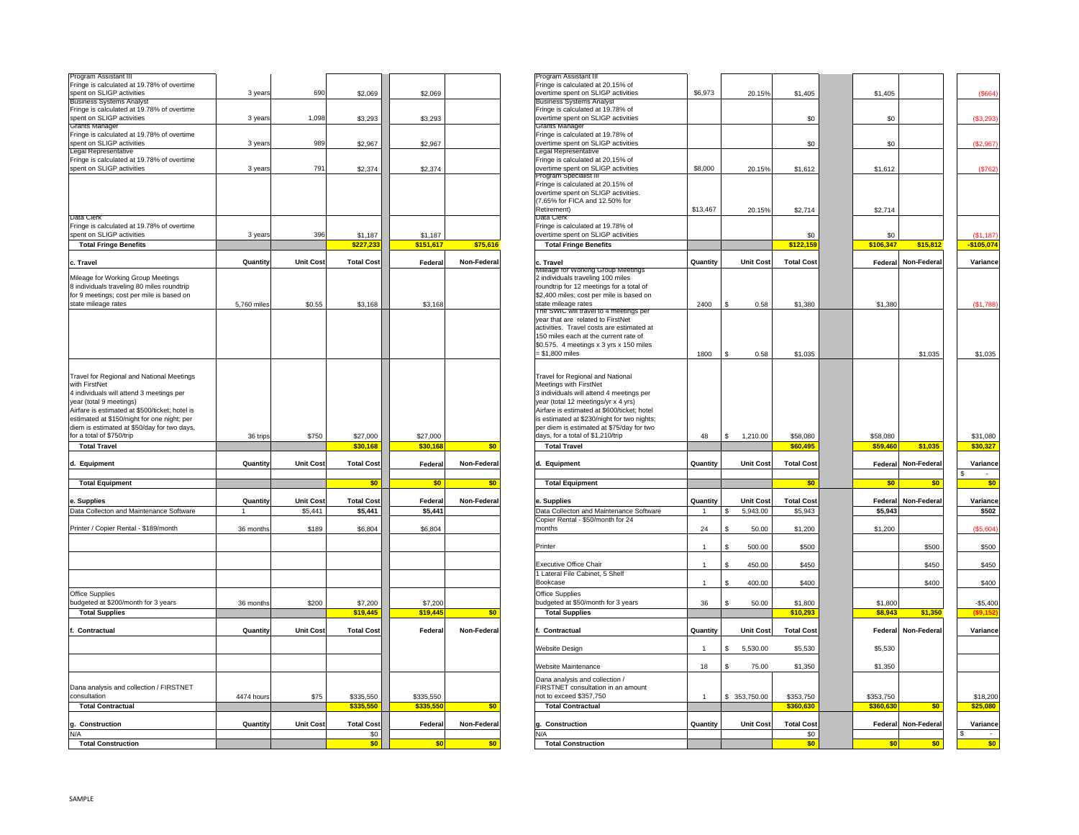| Program Assistant III                                                                                                                                                                                                                                                                                          |             |                  |                   |           |             |
|----------------------------------------------------------------------------------------------------------------------------------------------------------------------------------------------------------------------------------------------------------------------------------------------------------------|-------------|------------------|-------------------|-----------|-------------|
| Fringe is calculated at 19.78% of overtime<br>spent on SLIGP activities                                                                                                                                                                                                                                        | 3 years     | 690              | \$2,069           | \$2,069   |             |
| <b>Business Systems Analyst</b>                                                                                                                                                                                                                                                                                |             |                  |                   |           |             |
| Fringe is calculated at 19.78% of overtime                                                                                                                                                                                                                                                                     |             |                  |                   |           |             |
| spent on SLIGP activities                                                                                                                                                                                                                                                                                      | 3 years     | 1,098            | \$3,293           | \$3,293   |             |
| <b>Grants Manager</b><br>Fringe is calculated at 19.78% of overtime                                                                                                                                                                                                                                            |             |                  |                   |           |             |
| spent on SLIGP activities                                                                                                                                                                                                                                                                                      | 3 years     | 989              | \$2,967           | \$2,967   |             |
| <b>Legal Representative</b>                                                                                                                                                                                                                                                                                    |             |                  |                   |           |             |
| Fringe is calculated at 19.78% of overtime                                                                                                                                                                                                                                                                     |             |                  |                   |           |             |
| spent on SLIGP activities                                                                                                                                                                                                                                                                                      | 3 years     | 791              | \$2,374           | \$2,374   |             |
|                                                                                                                                                                                                                                                                                                                |             |                  |                   |           |             |
| Data Clerk                                                                                                                                                                                                                                                                                                     |             |                  |                   |           |             |
| Fringe is calculated at 19.78% of overtime<br>spent on SLIGP activities                                                                                                                                                                                                                                        | 3 years     | 396              | \$1,187           | \$1,187   |             |
| <b>Total Fringe Benefits</b>                                                                                                                                                                                                                                                                                   |             |                  | \$227,233         | \$151,617 | \$75,616    |
|                                                                                                                                                                                                                                                                                                                |             |                  |                   |           |             |
| c. Travel                                                                                                                                                                                                                                                                                                      | Quantity    | <b>Unit Cost</b> | <b>Total Cost</b> | Federal   | Non-Federal |
| Mileage for Working Group Meetings<br>8 individuals traveling 80 miles roundtrip<br>for 9 meetings; cost per mile is based on<br>state mileage rates                                                                                                                                                           | 5,760 miles | \$0.55           | \$3,168           | \$3,168   |             |
| Travel for Regional and National Meetings<br>with FirstNet<br>4 individuals will attend 3 meetings per<br>year (total 9 meetings)<br>Airfare is estimated at \$500/ticket; hotel is<br>estimated at \$150/night for one night; per<br>diem is estimated at \$50/day for two days,<br>for a total of \$750/trip | 36 trips    | \$750            | \$27,000          | \$27,000  |             |
| <b>Total Travel</b>                                                                                                                                                                                                                                                                                            |             |                  | \$30,168          | \$30,168  | \$0         |
| d. Equipment                                                                                                                                                                                                                                                                                                   | Quantity    | <b>Unit Cost</b> | <b>Total Cost</b> | Federal   | Non-Federal |
| <b>Total Equipment</b>                                                                                                                                                                                                                                                                                         |             |                  | \$0               | \$0       | \$0         |
|                                                                                                                                                                                                                                                                                                                |             |                  |                   |           |             |
| e. Supplies                                                                                                                                                                                                                                                                                                    | Quantity    | <b>Unit Cost</b> | <b>Total Cost</b> | Federal   | Non-Federal |
| Data Collecton and Maintenance Software                                                                                                                                                                                                                                                                        | 1           | \$5,441          | \$5,441           | \$5,441   |             |
|                                                                                                                                                                                                                                                                                                                |             |                  |                   |           |             |
| Printer / Copier Rental - \$189/month                                                                                                                                                                                                                                                                          | 36 months   | \$189            | \$6,804           | \$6,804   |             |
|                                                                                                                                                                                                                                                                                                                |             |                  |                   |           |             |
| Office Supplies                                                                                                                                                                                                                                                                                                |             |                  |                   |           |             |
| budgeted at \$200/month for 3 years                                                                                                                                                                                                                                                                            | 36 months   | \$200            | \$7,200           | \$7,200   |             |
| <b>Total Supplies</b>                                                                                                                                                                                                                                                                                          |             |                  | \$19,445          | \$19,445  | \$0         |
|                                                                                                                                                                                                                                                                                                                |             |                  |                   |           |             |
| f. Contractual                                                                                                                                                                                                                                                                                                 | Quantity    | <b>Unit Cost</b> | <b>Total Cost</b> | Federal   | Non-Federal |
|                                                                                                                                                                                                                                                                                                                |             |                  |                   |           |             |
| Dana analysis and collection / FIRSTNET                                                                                                                                                                                                                                                                        |             |                  |                   |           |             |
| consultation                                                                                                                                                                                                                                                                                                   | 4474 hours  | \$75             | \$335,550         | \$335,550 |             |
| <b>Total Contractual</b>                                                                                                                                                                                                                                                                                       |             |                  | \$335,550         | \$335,550 | \$0         |
|                                                                                                                                                                                                                                                                                                                | Quantity    | <b>Unit Cost</b> | <b>Total Cost</b> |           | Non-Federal |
| Construction<br>g.<br>N/A                                                                                                                                                                                                                                                                                      |             |                  | \$0               | Federal   |             |
| <b>Total Construction</b>                                                                                                                                                                                                                                                                                      |             |                  | \$0               | \$0       | \$0         |
|                                                                                                                                                                                                                                                                                                                |             |                  |                   |           |             |

| Program Assistant III                                                                   |                 |                  |                   |           |             | Program Assistant II                                                                 |                |                      |                   |           |            |               |
|-----------------------------------------------------------------------------------------|-----------------|------------------|-------------------|-----------|-------------|--------------------------------------------------------------------------------------|----------------|----------------------|-------------------|-----------|------------|---------------|
| Fringe is calculated at 19.78% of overtime<br>spent on SLIGP activities                 | 3 years         | 690              | \$2,069           | \$2,069   |             | Fringe is calculated at 20.15% of<br>overtime spent on SLIGP activities              | \$6,973        | 20.15%               | \$1,405           | \$1,405   |            | (\$664)       |
| <b>Business Systems Analy:</b>                                                          |                 |                  |                   |           |             | <b>Business Systems Analys</b>                                                       |                |                      |                   |           |            |               |
| Fringe is calculated at 19.78% of overtime                                              |                 |                  |                   |           |             | Fringe is calculated at 19.78% of                                                    |                |                      |                   |           |            |               |
| spent on SLIGP activities                                                               | 3 years         | 1.098            | \$3,293           | \$3,293   |             | overtime spent on SLIGP activities                                                   |                |                      | \$0               |           | \$0        | (\$3,293      |
| Grants Manager<br>Fringe is calculated at 19.78% of overtime                            |                 |                  |                   |           |             | Grants Manager<br>Fringe is calculated at 19.78% of                                  |                |                      |                   |           |            |               |
| spent on SLIGP activities                                                               | 3 years         | 989              | \$2,967           | \$2,967   |             | overtime spent on SLIGP activities                                                   |                |                      | \$0               |           | \$0        | (\$2,967)     |
| Legal Representative                                                                    |                 |                  |                   |           |             | egal Representative                                                                  |                |                      |                   |           |            |               |
| Fringe is calculated at 19.78% of overtime                                              |                 |                  |                   |           |             | Fringe is calculated at 20.15% of                                                    |                |                      |                   |           |            |               |
| spent on SLIGP activities                                                               | 3 years         | 791              | \$2,374           | \$2,374   |             | overtime spent on SLIGP activities                                                   | \$8,000        | 20.15%               | \$1,612           | \$1,612   |            | (\$762)       |
|                                                                                         |                 |                  |                   |           |             | rogram Specialist i<br>Fringe is calculated at 20.15% of                             |                |                      |                   |           |            |               |
|                                                                                         |                 |                  |                   |           |             | overtime spent on SLIGP activities.                                                  |                |                      |                   |           |            |               |
|                                                                                         |                 |                  |                   |           |             | (7.65% for FICA and 12.50% for                                                       |                |                      |                   |           |            |               |
|                                                                                         |                 |                  |                   |           |             | Retirement)                                                                          | \$13,467       | 20.15%               | \$2,714           | \$2,714   |            |               |
| Data Clerk                                                                              |                 |                  |                   |           |             | Data Clerk<br>Fringe is calculated at 19.78% of                                      |                |                      |                   |           |            |               |
| Fringe is calculated at 19.78% of overtime<br>spent on SLIGP activities                 | 3 years         | 396              | \$1,187           | \$1,187   |             | overtime spent on SLIGP activities                                                   |                |                      | \$0               | \$0       |            | (S1, 187)     |
| <b>Total Fringe Benefits</b>                                                            |                 |                  | \$227,23          | \$151,617 | \$75,616    | <b>Total Fringe Benefits</b>                                                         |                |                      | \$122,159         | \$106,347 | \$15,812   | $-$ \$105,074 |
|                                                                                         |                 |                  |                   |           |             |                                                                                      |                |                      |                   |           |            |               |
| c. Travel                                                                               | Quantity        | <b>Unit Cost</b> | <b>Total Cost</b> | Federal   | Non-Federal | c. Travel                                                                            | Quantity       | Unit Cost            | <b>Total Cost</b> | Federal   | Non-Federa | Variance      |
|                                                                                         |                 |                  |                   |           |             | illeage for working Group Meetings                                                   |                |                      |                   |           |            |               |
| Mileage for Working Group Meetings                                                      |                 |                  |                   |           |             | 2 individuals traveling 100 miles                                                    |                |                      |                   |           |            |               |
| 8 individuals traveling 80 miles roundtrip<br>for 9 meetings; cost per mile is based on |                 |                  |                   |           |             | roundtrip for 12 meetings for a total of<br>\$2,400 miles; cost per mile is based on |                |                      |                   |           |            |               |
| state mileage rates                                                                     | 5,760 miles     | \$0.55           | \$3,168           | \$3,168   |             | state mileage rates                                                                  | 2400           | 0.58<br>$\mathbf{s}$ | \$1,380           | \$1,380   |            | (\$1,788      |
|                                                                                         |                 |                  |                   |           |             | The SWIC will travel to 4 meetings per                                               |                |                      |                   |           |            |               |
|                                                                                         |                 |                  |                   |           |             | ear that are related to FirstNet                                                     |                |                      |                   |           |            |               |
|                                                                                         |                 |                  |                   |           |             | activities. Travel costs are estimated at                                            |                |                      |                   |           |            |               |
|                                                                                         |                 |                  |                   |           |             | 150 miles each at the current rate of                                                |                |                      |                   |           |            |               |
|                                                                                         |                 |                  |                   |           |             | \$0.575. 4 meetings x 3 yrs x 150 miles                                              |                |                      |                   |           |            |               |
|                                                                                         |                 |                  |                   |           |             | = \$1,800 miles                                                                      | 1800           | $\mathbf{s}$<br>0.58 | \$1,035           |           | \$1,035    | \$1,035       |
|                                                                                         |                 |                  |                   |           |             |                                                                                      |                |                      |                   |           |            |               |
| Travel for Regional and National Meetings                                               |                 |                  |                   |           |             | Travel for Regional and National                                                     |                |                      |                   |           |            |               |
| with FirstNet                                                                           |                 |                  |                   |           |             | Meetings with FirstNet                                                               |                |                      |                   |           |            |               |
| 4 individuals will attend 3 meetings per                                                |                 |                  |                   |           |             | 3 individuals will attend 4 meetings per                                             |                |                      |                   |           |            |               |
| year (total 9 meetings)                                                                 |                 |                  |                   |           |             | year (total 12 meetings/yr x 4 yrs)                                                  |                |                      |                   |           |            |               |
| Airfare is estimated at \$500/ticket; hotel is                                          |                 |                  |                   |           |             | Airfare is estimated at \$600/ticket; hotel                                          |                |                      |                   |           |            |               |
| estimated at \$150/night for one night; per                                             |                 |                  |                   |           |             | is estimated at \$230/night for two nights;                                          |                |                      |                   |           |            |               |
| diem is estimated at \$50/day for two days,<br>for a total of \$750/trip                |                 |                  |                   |           |             | per diem is estimated at \$75/day for two<br>days, for a total of \$1,210/trip       | 48             | $\mathbf{s}$         |                   |           |            |               |
|                                                                                         | 36 trips        | \$750            | \$27,000          | \$27,000  |             |                                                                                      |                | 1,210.00             | \$58,080          | \$58,080  |            | \$31,080      |
| <b>Total Travel</b>                                                                     |                 |                  | \$30,168          | \$30,168  | \$0         | <b>Total Travel</b>                                                                  |                |                      | \$60,495          | \$59,460  | \$1,035    | \$30,327      |
| d. Equipment                                                                            | Quantity        | <b>Unit Cost</b> | <b>Total Cost</b> | Federal   | Non-Federal | d. Equipment                                                                         | Quantity       | <b>Unit Cost</b>     | <b>Total Cost</b> | Federal   | Non-Federa | Variance      |
|                                                                                         |                 |                  |                   |           |             |                                                                                      |                |                      |                   |           |            |               |
| <b>Total Equipment</b>                                                                  |                 |                  | \$0               | \$0       | \$0         | <b>Total Equipment</b>                                                               |                |                      | \$0               |           | \$0<br>\$0 | \$0           |
|                                                                                         |                 |                  |                   |           |             |                                                                                      |                |                      |                   |           |            |               |
| e. Supplies                                                                             | <b>Quantity</b> | <b>Unit Cost</b> | <b>Total Cost</b> | Federal   | Non-Federa  | Supplies                                                                             | Quantity       | <b>Unit Cost</b>     | <b>Total Cost</b> | Federal   | Non-Federa | Variance      |
| Data Collecton and Maintenance Software                                                 |                 | \$5,441          | \$5,441           | \$5,441   |             | Data Collecton and Maintenance Software                                              | $\overline{1}$ | 5,943.00             | \$5,943           | \$5,943   |            | \$502         |
|                                                                                         |                 |                  |                   |           |             | Copier Rental - \$50/month for 24                                                    |                |                      |                   |           |            |               |
| Printer / Copier Rental - \$189/month                                                   | 36 months       | \$189            | \$6,804           | \$6,804   |             | nonths                                                                               | 24             | 50.00                | \$1,200           | \$1,200   |            | (\$5,604      |
|                                                                                         |                 |                  |                   |           |             |                                                                                      |                |                      |                   |           |            |               |
|                                                                                         |                 |                  |                   |           |             | Printer                                                                              | $\overline{1}$ | 500.00               | \$500             |           | \$500      | \$500         |
|                                                                                         |                 |                  |                   |           |             |                                                                                      |                |                      |                   |           |            |               |
|                                                                                         |                 |                  |                   |           |             | <b>Executive Office Chair</b><br>1 Lateral File Cabinet, 5 Shelf                     | $\overline{1}$ | 450.00               | \$450             |           | \$450      | \$450         |
|                                                                                         |                 |                  |                   |           |             | Bookcase                                                                             | $\overline{1}$ | 400.00               | \$400             |           | \$400      | \$400         |
|                                                                                         |                 |                  |                   |           |             |                                                                                      |                |                      |                   |           |            |               |
| Office Supplies<br>budgeted at \$200/month for 3 years                                  |                 | \$200            | \$7,200           | \$7,200   |             | Office Supplies<br>oudgeted at \$50/month for 3 years                                |                | 50.00                | \$1,800           | \$1,800   |            | $-$5,400$     |
| <b>Total Supplies</b>                                                                   | 36 months       |                  | \$19,445          | \$19,445  | \$0         | <b>Total Supplies</b>                                                                | 36             |                      | \$10.293          | \$8.943   | \$1,350    | (S9.15)       |
|                                                                                         |                 |                  |                   |           |             |                                                                                      |                |                      |                   |           |            |               |
| Contractual                                                                             | Quantity        | <b>Unit Cost</b> | <b>Total Cost</b> | Federal   | Non-Federal | Contractual                                                                          | Quantity       | <b>Unit Cost</b>     | <b>Total Cost</b> | Federal   | Non-Federa | Variance      |
|                                                                                         |                 |                  |                   |           |             |                                                                                      |                |                      |                   |           |            |               |
|                                                                                         |                 |                  |                   |           |             | Website Design                                                                       |                | 5,530.00             | \$5,530           | \$5,530   |            |               |
|                                                                                         |                 |                  |                   |           |             |                                                                                      |                |                      |                   |           |            |               |
|                                                                                         |                 |                  |                   |           |             | Website Maintenance                                                                  | 18             | 75.00                | \$1,350           | \$1,350   |            |               |
|                                                                                         |                 |                  |                   |           |             | Dana analysis and collection /                                                       |                |                      |                   |           |            |               |
| Dana analysis and collection / FIRSTNET                                                 |                 |                  |                   |           |             | FIRSTNET consultation in an amount                                                   |                |                      |                   |           |            |               |
| consultation                                                                            | 4474 hours      | \$75             | \$335,550         | \$335,550 |             | not to exceed \$357,750                                                              | $\overline{1}$ | \$ 353,750.00        | \$353,750         | \$353,750 |            | \$18,200      |
| <b>Total Contractual</b>                                                                |                 |                  | \$335,550         | \$335,550 | \$0         | <b>Total Contractual</b>                                                             |                |                      | \$360,630         | \$360,630 | \$0        | \$25,080      |
|                                                                                         |                 |                  |                   |           |             |                                                                                      |                |                      |                   |           |            |               |
| g. Construction                                                                         | Quantity        | <b>Unit Cost</b> | <b>Total Cost</b> | Federal   | Non-Federal | Construction                                                                         | Quantity       | <b>Unit Cost</b>     | <b>Total Cost</b> | Federal   | Non-Federa | Variance      |
| N/A                                                                                     |                 |                  | \$0               |           |             | N/A                                                                                  |                |                      | \$0               |           |            | $\sim$        |
| <b>Total Construction</b>                                                               |                 |                  | \$0               | \$0       | \$0         | <b>Total Construction</b>                                                            |                |                      | \$0               |           | \$0<br>\$0 | \$0           |
|                                                                                         |                 |                  |                   |           |             |                                                                                      |                |                      |                   |           |            |               |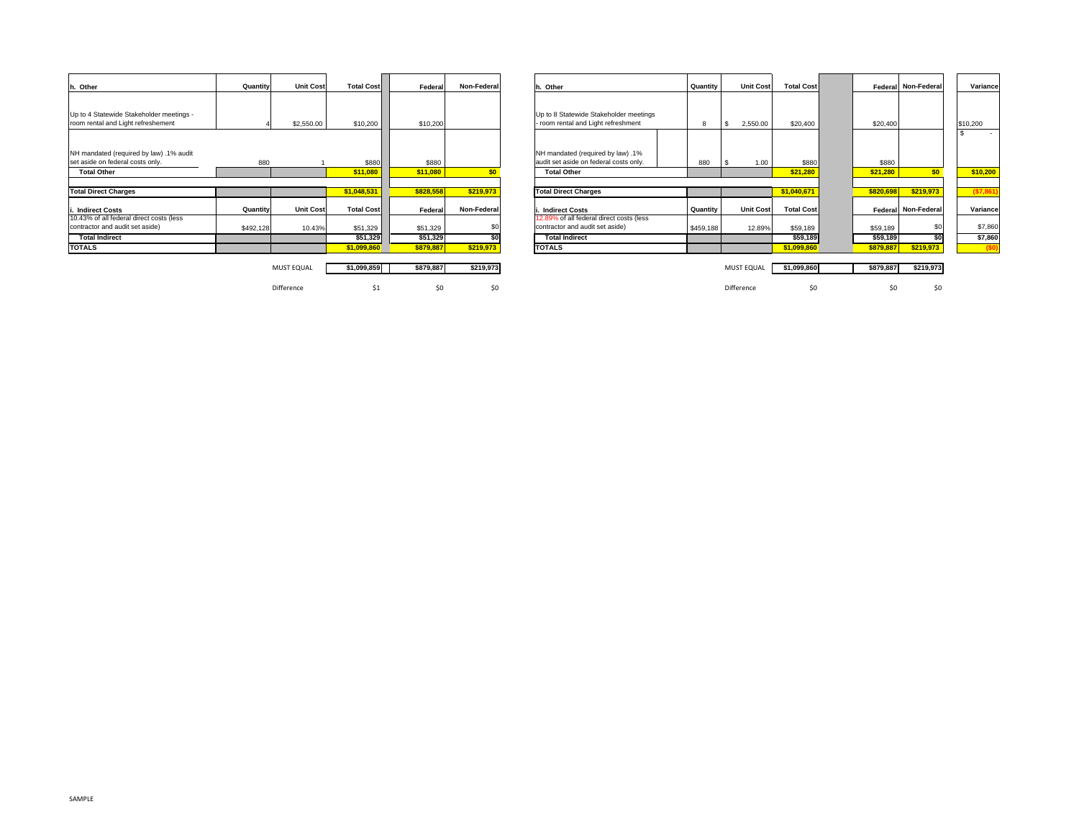| h. Other                                 | Quantity  | <b>Unit Cost</b>  | <b>Total Cost</b> | Federal   | Non-Federal | Other                                    | Quantity  | <b>Unit Cost</b> | <b>Total Cost</b> |           | Federal Non-Federal | Variance   |
|------------------------------------------|-----------|-------------------|-------------------|-----------|-------------|------------------------------------------|-----------|------------------|-------------------|-----------|---------------------|------------|
|                                          |           |                   |                   |           |             |                                          |           |                  |                   |           |                     |            |
| Up to 4 Statewide Stakeholder meetings - |           |                   |                   |           |             | Up to 8 Statewide Stakeholder meetings   |           |                  |                   |           |                     |            |
| room rental and Light refreshement       |           | \$2,550.00        | \$10,200          | \$10,200  |             | - room rental and Light refreshment      | 8         | 2,550.00         | \$20,400          | \$20,400  |                     | \$10,200   |
|                                          |           |                   |                   |           |             |                                          |           |                  |                   |           |                     |            |
| NH mandated (required by law) .1% audit  |           |                   |                   |           |             | NH mandated (required by law) .1%        |           |                  |                   |           |                     |            |
| set aside on federal costs only.         | 880       |                   | \$880             | \$880     |             | audit set aside on federal costs only.   | 880       | 1.00             | \$880             | \$880     |                     |            |
| <b>Total Other</b>                       |           |                   | \$11,080          | \$11,080  | \$0         | <b>Total Other</b>                       |           |                  | \$21,280          | \$21,280  | \$0                 | \$10,200   |
|                                          |           |                   |                   |           |             |                                          |           |                  |                   |           |                     |            |
| <b>Total Direct Charges</b>              |           |                   | \$1,048,531       | \$828,558 | \$219,973   | <b>Total Direct Charges</b>              |           |                  | \$1,040,671       | \$820,698 | \$219,973           | ( \$7,861) |
| <b>Indirect Costs</b>                    | Quantity  | <b>Unit Cost</b>  | <b>Total Cost</b> | Federal   | Non-Federal | <b>Indirect Costs</b>                    | Quantity  | <b>Unit Cost</b> | <b>Total Cost</b> |           | Federal Non-Federal | Variance   |
| 10.43% of all federal direct costs (less |           |                   |                   |           |             | 12.89% of all federal direct costs (less |           |                  |                   |           |                     |            |
| contractor and audit set aside)          | \$492,128 | 10.43%            | \$51,329          | \$51,329  |             | contractor and audit set aside)          | \$459,188 | 12.89%           | \$59,189          | \$59,189  | \$0                 | \$7,860    |
| <b>Total Indirect</b>                    |           |                   | \$51,329          | \$51,329  |             | <b>Total Indirect</b>                    |           |                  | \$59,189          | \$59,189  | \$O                 | \$7,860    |
| <b>TOTALS</b>                            |           |                   | \$1,099,860       | \$879,887 | \$219,973   | <b>TOTALS</b>                            |           |                  | \$1,099,860       | \$879,887 | \$219,973           | (50)       |
|                                          |           |                   |                   |           |             |                                          |           |                  |                   |           |                     |            |
|                                          |           | <b>MUST EQUAL</b> | \$1,099,859       | \$879.887 | \$219,973   |                                          |           | MUST EQUAL       | \$1,099,860       | \$879,887 | \$219,973           |            |
|                                          |           |                   |                   |           |             |                                          |           |                  |                   |           |                     |            |

Difference

| Quantity  | <b>Unit Cost</b>  | <b>Total Cost</b> | Federal   | Non-Federal | h. Other                                                                    | Quantity  | <b>Unit Cost</b>  | <b>Total Cost</b> |           | Federal Non-Federal | Variance   |  |
|-----------|-------------------|-------------------|-----------|-------------|-----------------------------------------------------------------------------|-----------|-------------------|-------------------|-----------|---------------------|------------|--|
|           | \$2,550.00        | \$10,200          | \$10,200  |             | Up to 8 Statewide Stakeholder meetings<br>room rental and Light refreshment | 8         | 2,550.00          | \$20,400          | \$20,400  |                     | \$10,200   |  |
| 880       |                   | \$880             | \$880     |             | NH mandated (required by law) .1%<br>audit set aside on federal costs only. | 880       | 1.00              | \$880             | \$880     |                     | $\sim$     |  |
|           |                   | \$11,080          | \$11,080  | \$0         | <b>Total Other</b>                                                          |           |                   | \$21,280          | \$21,280  | \$0                 | \$10,200   |  |
|           |                   |                   |           |             |                                                                             |           |                   |                   |           |                     |            |  |
|           |                   | \$1,048,531       | \$828,558 | \$219.973   | <b>Total Direct Charges</b>                                                 |           |                   | \$1,040,671       | \$820,698 | \$219,973           | ( \$7,861) |  |
| Quantity  | <b>Unit Cost</b>  | <b>Total Cost</b> | Federal   | Non-Federal | <b>Indirect Costs</b>                                                       | Quantity  | <b>Unit Cost</b>  | <b>Total Cost</b> |           | Federal Non-Federal | Variance   |  |
| \$492,128 | 10.43%            | \$51,329          | \$51,329  | \$C         | 12.89% of all federal direct costs (less<br>contractor and audit set aside) | \$459,188 | 12.89%            | \$59,189          | \$59,189  | \$0                 | \$7,860    |  |
|           |                   | \$51,329          | \$51,329  | \$0         | <b>Total Indirect</b>                                                       |           |                   | \$59,189          | \$59,189  | SO                  | \$7,860    |  |
|           |                   | \$1,099,860       | \$879,887 | \$219,973   | <b>TOTALS</b>                                                               |           |                   | \$1,099,860       | \$879,887 | \$219,973           | (50)       |  |
|           |                   |                   |           |             |                                                                             |           |                   |                   |           |                     |            |  |
|           | <b>MUST EQUAL</b> | \$1,099,859       | \$879,887 | \$219,973   |                                                                             |           | <b>MUST EQUAL</b> | \$1,099,860       | \$879,887 | \$219,973           |            |  |

\$1 \$0 \$0 Difference \$0 \$0 \$0

SAMPLE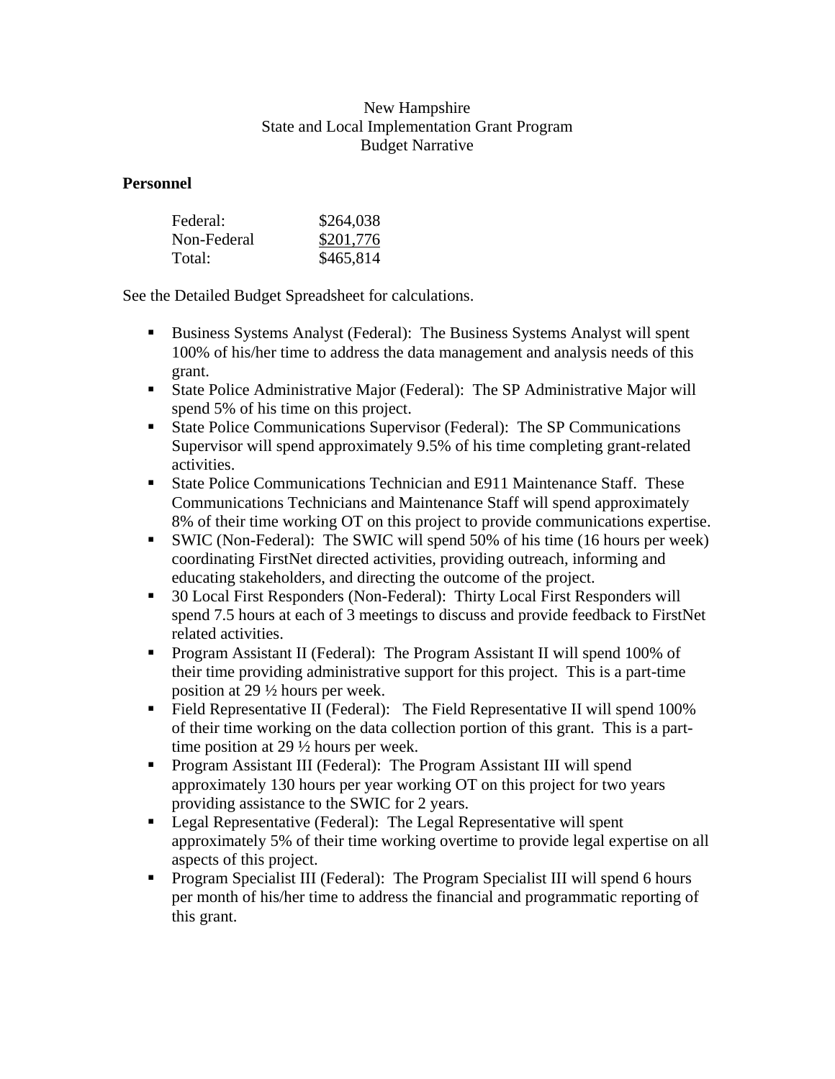# New Hampshire State and Local Implementation Grant Program Budget Narrative

# **Personnel**

| Federal:    | \$264,038 |
|-------------|-----------|
| Non-Federal | \$201,776 |
| Total:      | \$465,814 |

See the Detailed Budget Spreadsheet for calculations.

- **Business Systems Analyst (Federal): The Business Systems Analyst will spent** 100% of his/her time to address the data management and analysis needs of this grant.
- State Police Administrative Major (Federal): The SP Administrative Major will spend 5% of his time on this project.
- State Police Communications Supervisor (Federal): The SP Communications Supervisor will spend approximately 9.5% of his time completing grant-related activities.
- State Police Communications Technician and E911 Maintenance Staff. These Communications Technicians and Maintenance Staff will spend approximately 8% of their time working OT on this project to provide communications expertise.
- SWIC (Non-Federal): The SWIC will spend 50% of his time (16 hours per week) coordinating FirstNet directed activities, providing outreach, informing and educating stakeholders, and directing the outcome of the project.
- 30 Local First Responders (Non-Federal): Thirty Local First Responders will spend 7.5 hours at each of 3 meetings to discuss and provide feedback to FirstNet related activities.
- Program Assistant II (Federal): The Program Assistant II will spend 100% of their time providing administrative support for this project. This is a part-time position at 29 ½ hours per week.
- Field Representative II (Federal): The Field Representative II will spend 100% of their time working on the data collection portion of this grant. This is a parttime position at 29 ½ hours per week.
- **Program Assistant III (Federal): The Program Assistant III will spend** approximately 130 hours per year working OT on this project for two years providing assistance to the SWIC for 2 years.
- Legal Representative (Federal): The Legal Representative will spent approximately 5% of their time working overtime to provide legal expertise on all aspects of this project.
- Program Specialist III (Federal): The Program Specialist III will spend 6 hours per month of his/her time to address the financial and programmatic reporting of this grant.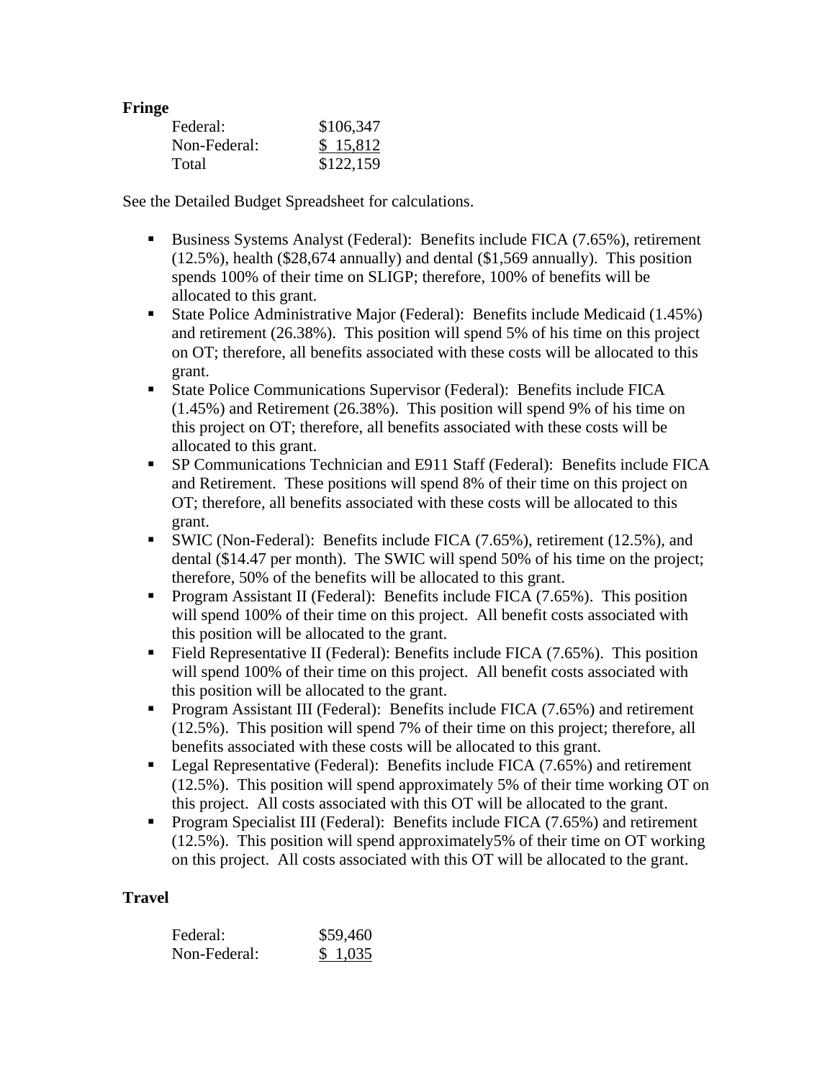# **Fringe**

| Federal:     | \$106,347 |
|--------------|-----------|
| Non-Federal: | \$15,812  |
| Total        | \$122,159 |

See the Detailed Budget Spreadsheet for calculations.

- Business Systems Analyst (Federal): Benefits include FICA (7.65%), retirement (12.5%), health (\$28,674 annually) and dental (\$1,569 annually). This position spends 100% of their time on SLIGP; therefore, 100% of benefits will be allocated to this grant.
- State Police Administrative Major (Federal): Benefits include Medicaid (1.45%) and retirement (26.38%). This position will spend 5% of his time on this project on OT; therefore, all benefits associated with these costs will be allocated to this grant.
- State Police Communications Supervisor (Federal): Benefits include FICA (1.45%) and Retirement (26.38%). This position will spend 9% of his time on this project on OT; therefore, all benefits associated with these costs will be allocated to this grant.
- SP Communications Technician and E911 Staff (Federal): Benefits include FICA and Retirement. These positions will spend 8% of their time on this project on OT; therefore, all benefits associated with these costs will be allocated to this grant.
- SWIC (Non-Federal): Benefits include FICA (7.65%), retirement (12.5%), and dental (\$14.47 per month). The SWIC will spend 50% of his time on the project; therefore, 50% of the benefits will be allocated to this grant.
- **Program Assistant II (Federal): Benefits include FICA (7.65%). This position** will spend 100% of their time on this project. All benefit costs associated with this position will be allocated to the grant.
- Field Representative II (Federal): Benefits include FICA (7.65%). This position will spend 100% of their time on this project. All benefit costs associated with this position will be allocated to the grant.
- **Program Assistant III (Federal): Benefits include FICA (7.65%) and retirement** (12.5%). This position will spend 7% of their time on this project; therefore, all benefits associated with these costs will be allocated to this grant.
- Legal Representative (Federal): Benefits include FICA (7.65%) and retirement (12.5%). This position will spend approximately 5% of their time working OT on this project. All costs associated with this OT will be allocated to the grant.
- Program Specialist III (Federal): Benefits include FICA (7.65%) and retirement (12.5%). This position will spend approximately5% of their time on OT working on this project. All costs associated with this OT will be allocated to the grant.

# **Travel**

| Federal:     | \$59,460 |
|--------------|----------|
| Non-Federal: | \$1,035  |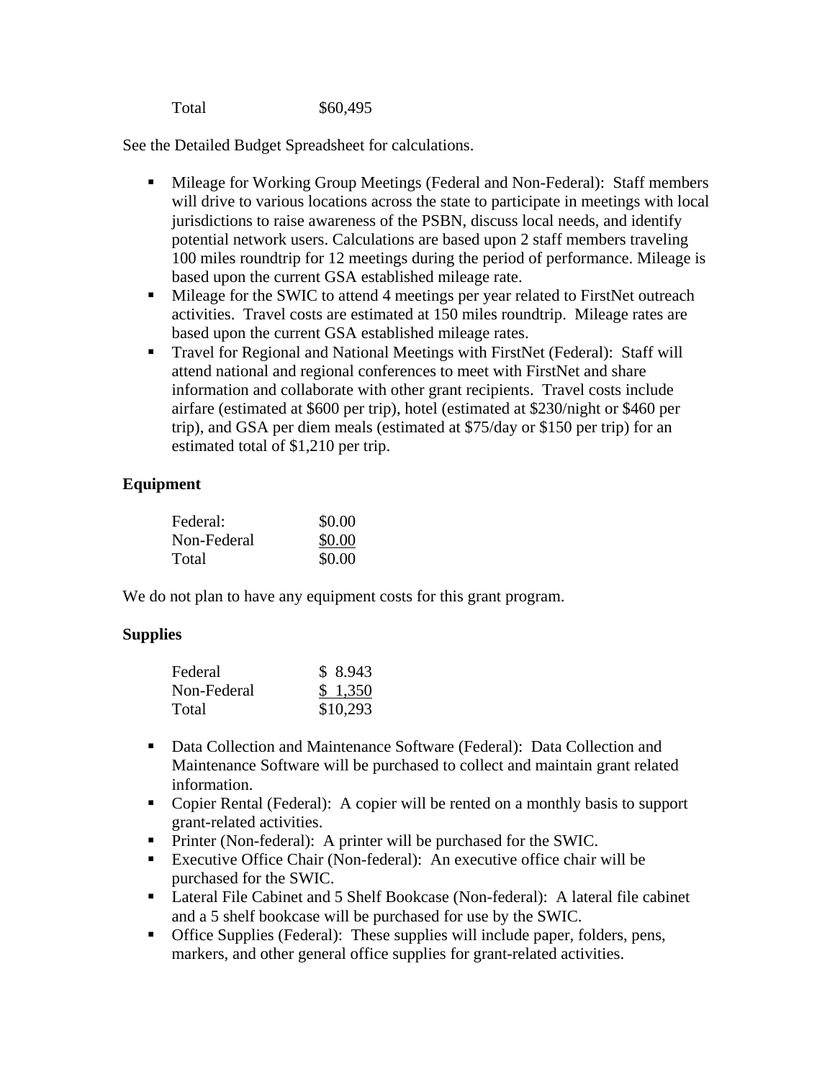Total \$60,495

See the Detailed Budget Spreadsheet for calculations.

- Mileage for Working Group Meetings (Federal and Non-Federal): Staff members will drive to various locations across the state to participate in meetings with local jurisdictions to raise awareness of the PSBN, discuss local needs, and identify potential network users. Calculations are based upon 2 staff members traveling 100 miles roundtrip for 12 meetings during the period of performance. Mileage is based upon the current GSA established mileage rate.
- Mileage for the SWIC to attend 4 meetings per year related to FirstNet outreach activities. Travel costs are estimated at 150 miles roundtrip. Mileage rates are based upon the current GSA established mileage rates.
- Travel for Regional and National Meetings with FirstNet (Federal): Staff will attend national and regional conferences to meet with FirstNet and share information and collaborate with other grant recipients. Travel costs include airfare (estimated at \$600 per trip), hotel (estimated at \$230/night or \$460 per trip), and GSA per diem meals (estimated at \$75/day or \$150 per trip) for an estimated total of \$1,210 per trip.

# **Equipment**

| Federal:    | \$0.00 |
|-------------|--------|
| Non-Federal | \$0.00 |
| Total       | \$0.00 |

We do not plan to have any equipment costs for this grant program.

# **Supplies**

| Federal     | \$8.943  |
|-------------|----------|
| Non-Federal | \$1,350  |
| Total       | \$10,293 |

- Data Collection and Maintenance Software (Federal): Data Collection and Maintenance Software will be purchased to collect and maintain grant related information.
- Copier Rental (Federal): A copier will be rented on a monthly basis to support grant-related activities.
- **Printer (Non-federal):** A printer will be purchased for the SWIC.
- Executive Office Chair (Non-federal): An executive office chair will be purchased for the SWIC.
- Lateral File Cabinet and 5 Shelf Bookcase (Non-federal): A lateral file cabinet and a 5 shelf bookcase will be purchased for use by the SWIC.
- Office Supplies (Federal): These supplies will include paper, folders, pens, markers, and other general office supplies for grant-related activities.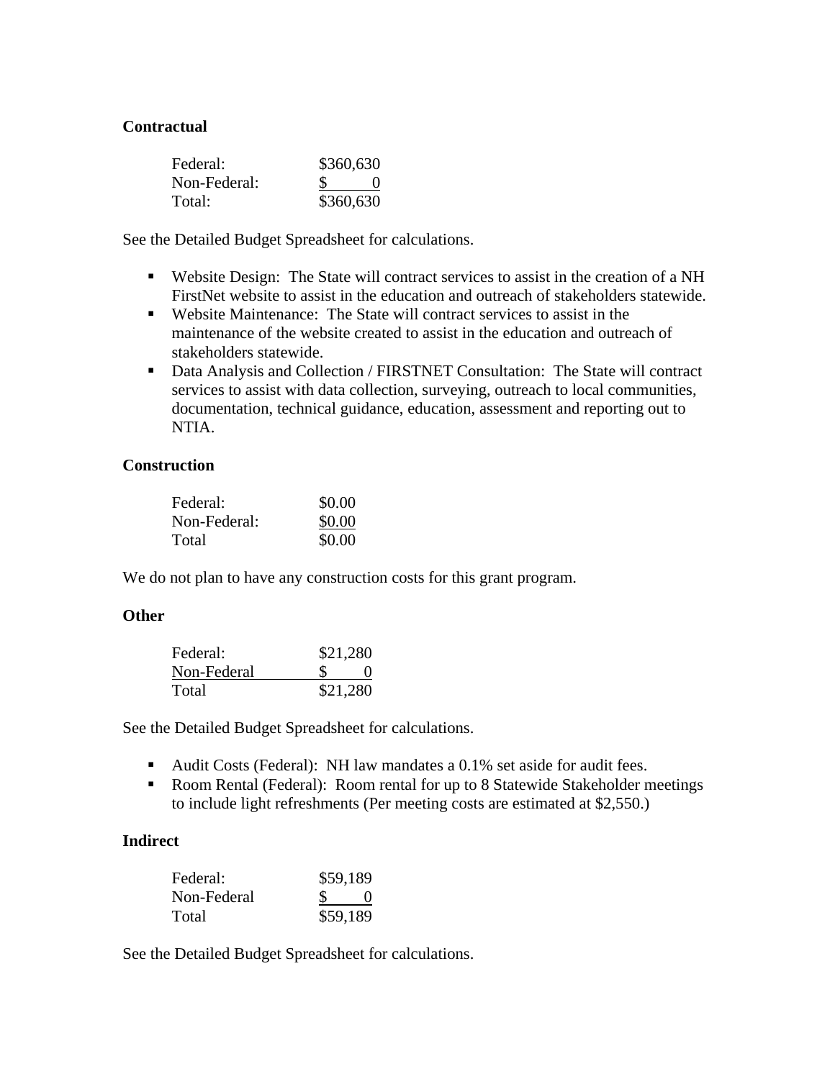# **Contractual**

| Federal:     | \$360,630 |
|--------------|-----------|
| Non-Federal: |           |
| Total:       | \$360,630 |

See the Detailed Budget Spreadsheet for calculations.

- Website Design: The State will contract services to assist in the creation of a NH FirstNet website to assist in the education and outreach of stakeholders statewide.
- Website Maintenance: The State will contract services to assist in the maintenance of the website created to assist in the education and outreach of stakeholders statewide.
- Data Analysis and Collection / FIRSTNET Consultation: The State will contract services to assist with data collection, surveying, outreach to local communities, documentation, technical guidance, education, assessment and reporting out to NTIA.

### **Construction**

| Federal:     | \$0.00 |
|--------------|--------|
| Non-Federal: | \$0.00 |
| Total        | \$0.00 |

We do not plan to have any construction costs for this grant program.

### **Other**

| Federal:    | \$21,280 |  |
|-------------|----------|--|
| Non-Federal |          |  |
| Total       | \$21,280 |  |

See the Detailed Budget Spreadsheet for calculations.

- Audit Costs (Federal): NH law mandates a 0.1% set aside for audit fees.
- Room Rental (Federal): Room rental for up to 8 Statewide Stakeholder meetings to include light refreshments (Per meeting costs are estimated at \$2,550.)

### **Indirect**

| Federal:    | \$59,189 |
|-------------|----------|
| Non-Federal |          |
| Total       | \$59,189 |

See the Detailed Budget Spreadsheet for calculations.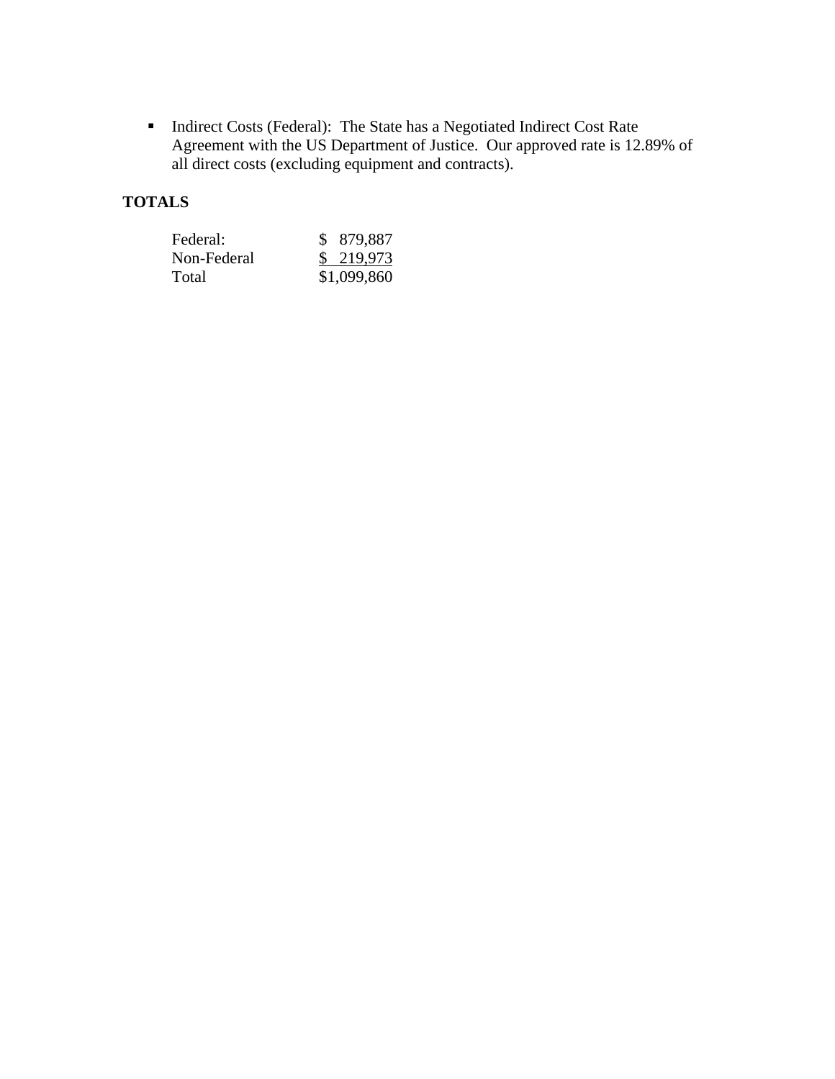Indirect Costs (Federal): The State has a Negotiated Indirect Cost Rate Agreement with the US Department of Justice. Our approved rate is 12.89% of all direct costs (excluding equipment and contracts).

# **TOTALS**

| Federal:    | \$ 879,887  |
|-------------|-------------|
| Non-Federal | \$219,973   |
| Total       | \$1,099,860 |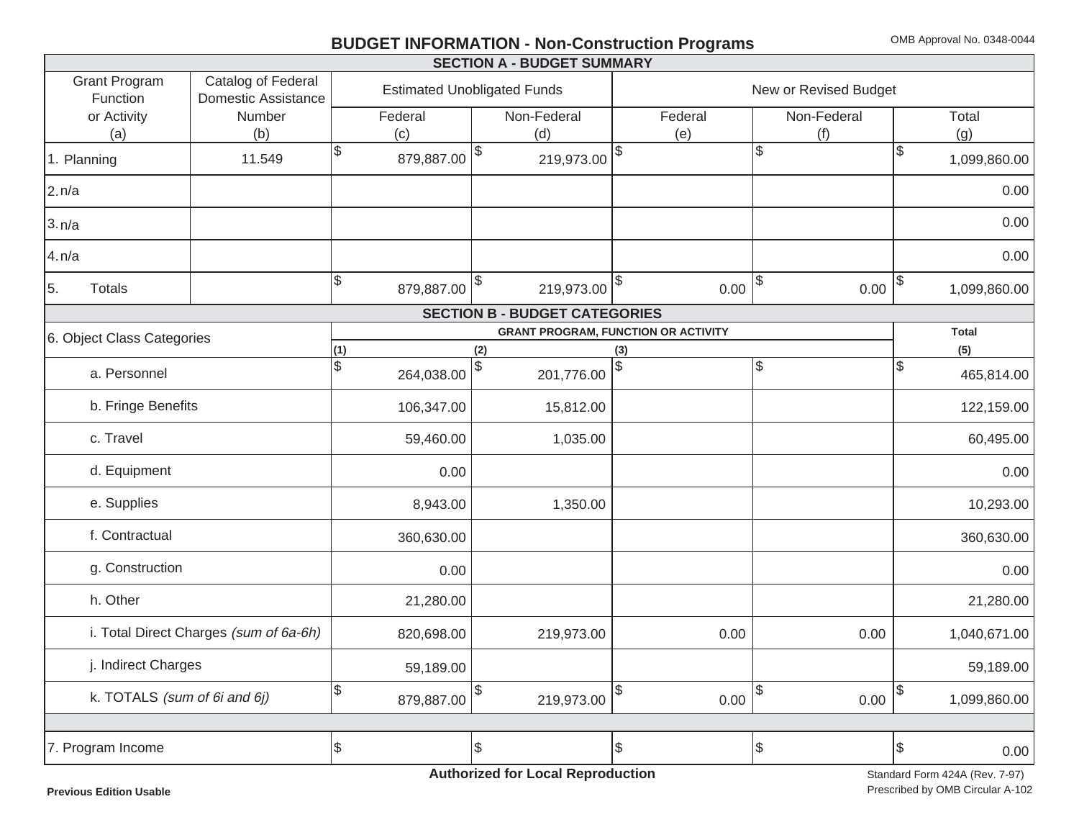# **BUDGET INFORMATION - Non-Construction Programs** OMB Approval No. 0348-0044

|                                  |                                                  |                             | <b>SECTION A - BUDGET SUMMARY</b>                |                                            |                       |                    |
|----------------------------------|--------------------------------------------------|-----------------------------|--------------------------------------------------|--------------------------------------------|-----------------------|--------------------|
| <b>Grant Program</b><br>Function | Catalog of Federal<br><b>Domestic Assistance</b> |                             | <b>Estimated Unobligated Funds</b>               |                                            | New or Revised Budget |                    |
| or Activity                      | Number                                           | Federal                     | Non-Federal                                      | Federal                                    | Non-Federal           | Total              |
| (a)                              | (b)                                              | (c)                         | (d)                                              | (e)                                        | (f)                   | (g)                |
| 1. Planning                      | 11.549                                           | $\mathcal{S}$<br>879,887.00 | $\sqrt[6]{2}$<br>$219,973.00$ $\sqrt{8}$         |                                            | $\mathbb{S}$          | \$<br>1,099,860.00 |
| 2.n/a                            |                                                  |                             |                                                  |                                            |                       | 0.00               |
| 3.n/a                            |                                                  |                             |                                                  |                                            |                       | 0.00               |
| 4.n/a                            |                                                  |                             |                                                  |                                            |                       | 0.00               |
| 5.<br><b>Totals</b>              |                                                  | $\sqrt{3}$<br>879,887.00    | $\boldsymbol{\theta}$<br>$219,973.00$ $\vert \$$ | 0.00                                       | $\sqrt{2}$<br>0.00    | \$<br>1,099,860.00 |
|                                  |                                                  |                             | <b>SECTION B - BUDGET CATEGORIES</b>             |                                            |                       |                    |
| 6. Object Class Categories       |                                                  |                             |                                                  | <b>GRANT PROGRAM, FUNCTION OR ACTIVITY</b> |                       | <b>Total</b>       |
|                                  |                                                  | (1)                         | (2)                                              | (3)                                        |                       | (5)                |
| a. Personnel                     |                                                  | \$<br>264,038.00            | $\boldsymbol{\mathsf{S}}$<br>201,776.00          | \$                                         | \$                    | \$<br>465,814.00   |
| b. Fringe Benefits               |                                                  | 106,347.00                  | 15,812.00                                        |                                            |                       | 122,159.00         |
| c. Travel                        |                                                  | 59,460.00                   | 1,035.00                                         |                                            |                       | 60,495.00          |
| d. Equipment                     |                                                  | 0.00                        |                                                  |                                            |                       | 0.00               |
| e. Supplies                      |                                                  | 8,943.00                    | 1,350.00                                         |                                            |                       | 10,293.00          |
| f. Contractual                   |                                                  | 360,630.00                  |                                                  |                                            |                       | 360,630.00         |
| g. Construction                  |                                                  | 0.00                        |                                                  |                                            |                       | 0.00               |
| h. Other                         |                                                  | 21,280.00                   |                                                  |                                            |                       | 21,280.00          |
|                                  | i. Total Direct Charges (sum of 6a-6h)           | 820,698.00                  | 219,973.00                                       | 0.00                                       | 0.00                  | 1,040,671.00       |
| j. Indirect Charges              |                                                  | 59,189.00                   |                                                  |                                            |                       | 59,189.00          |
| k. TOTALS (sum of 6i and 6j)     |                                                  | \$<br>879,887.00            | 219,973.00                                       | \$<br>0.00                                 | \$<br>0.00            | \$<br>1,099,860.00 |
|                                  |                                                  |                             |                                                  |                                            |                       |                    |
| 7. Program Income                |                                                  | \$                          | $\sqrt{3}$                                       | \$                                         | Ι\$                   | \$<br>0.00         |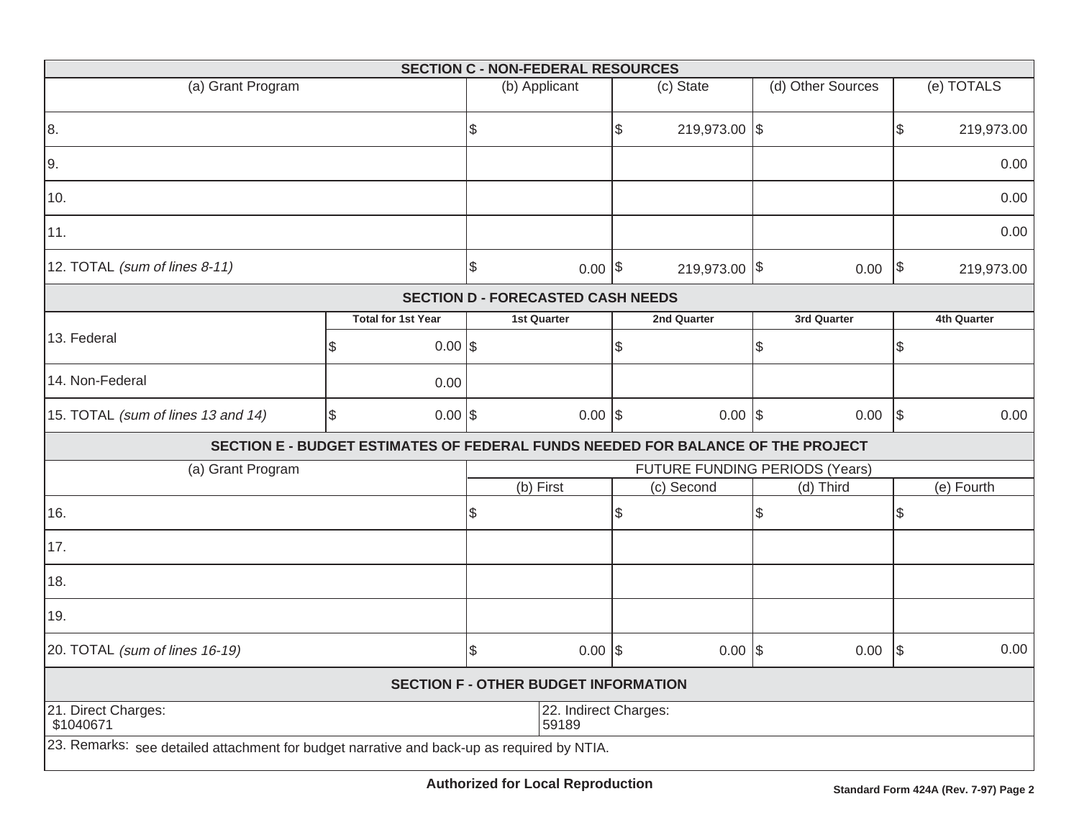|                                                                                            |           |                           |                                | <b>SECTION C - NON-FEDERAL RESOURCES</b>                                        |            |               |      |                   |            |             |  |  |  |
|--------------------------------------------------------------------------------------------|-----------|---------------------------|--------------------------------|---------------------------------------------------------------------------------|------------|---------------|------|-------------------|------------|-------------|--|--|--|
| (a) Grant Program                                                                          |           |                           |                                | (b) Applicant                                                                   |            | (c) State     |      | (d) Other Sources |            | (e) TOTALS  |  |  |  |
| 8.                                                                                         |           |                           | \$                             |                                                                                 | \$         | 219,973.00 \$ |      |                   | \$         | 219,973.00  |  |  |  |
| 9.                                                                                         |           |                           |                                |                                                                                 |            |               |      |                   |            | 0.00        |  |  |  |
| 10.                                                                                        |           |                           |                                |                                                                                 |            |               |      |                   |            | 0.00        |  |  |  |
| 11.                                                                                        |           |                           |                                |                                                                                 |            |               |      |                   |            | 0.00        |  |  |  |
| 12. TOTAL (sum of lines 8-11)                                                              |           |                           | \$                             | $0.00$ \$                                                                       |            | 219,973.00 \$ |      | 0.00              | $\sqrt{2}$ | 219,973.00  |  |  |  |
|                                                                                            |           |                           |                                | <b>SECTION D - FORECASTED CASH NEEDS</b>                                        |            |               |      |                   |            |             |  |  |  |
|                                                                                            |           | <b>Total for 1st Year</b> |                                | <b>1st Quarter</b>                                                              |            | 2nd Quarter   |      | 3rd Quarter       |            | 4th Quarter |  |  |  |
| 13. Federal                                                                                | l\$       | $0.00$ \$                 |                                |                                                                                 | \$         |               | \$   |                   | \$         |             |  |  |  |
| 14. Non-Federal                                                                            |           | 0.00                      |                                |                                                                                 |            |               |      |                   |            |             |  |  |  |
| 15. TOTAL (sum of lines 13 and 14)                                                         | $0.00$ \$ |                           | $0.00$ \\$                     |                                                                                 | $0.00$ \\$ |               | 0.00 | \$                | 0.00       |             |  |  |  |
|                                                                                            |           |                           |                                | SECTION E - BUDGET ESTIMATES OF FEDERAL FUNDS NEEDED FOR BALANCE OF THE PROJECT |            |               |      |                   |            |             |  |  |  |
| (a) Grant Program                                                                          |           |                           | FUTURE FUNDING PERIODS (Years) |                                                                                 |            |               |      |                   |            |             |  |  |  |
|                                                                                            |           |                           |                                | (b) First                                                                       |            | (c) Second    |      | (d) Third         |            | (e) Fourth  |  |  |  |
| 16.                                                                                        |           |                           | \$                             |                                                                                 | \$         |               | \$   |                   | \$         |             |  |  |  |
| 17.                                                                                        |           |                           |                                |                                                                                 |            |               |      |                   |            |             |  |  |  |
| 18.                                                                                        |           |                           |                                |                                                                                 |            |               |      |                   |            |             |  |  |  |
| 19.                                                                                        |           |                           |                                |                                                                                 |            |               |      |                   |            |             |  |  |  |
| 20. TOTAL (sum of lines 16-19)                                                             |           |                           | \$                             | $0.00$ \\$                                                                      |            | $0.00$ \\$    |      | 0.00              | $\sqrt{3}$ | 0.00        |  |  |  |
|                                                                                            |           |                           |                                | <b>SECTION F - OTHER BUDGET INFORMATION</b>                                     |            |               |      |                   |            |             |  |  |  |
| 21. Direct Charges:<br>\$1040671                                                           |           |                           | 22. Indirect Charges:<br>59189 |                                                                                 |            |               |      |                   |            |             |  |  |  |
| 23. Remarks: see detailed attachment for budget narrative and back-up as required by NTIA. |           |                           |                                |                                                                                 |            |               |      |                   |            |             |  |  |  |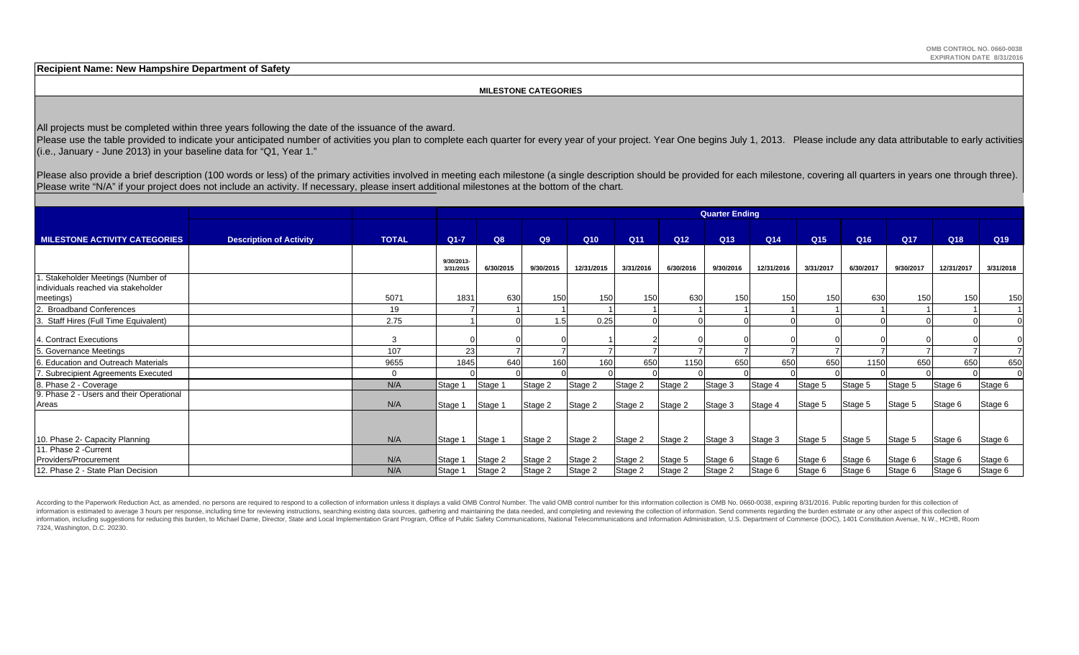**Recipient Name: New Hampshire Department of Safety**

#### **MILESTONE CATEGORIES**

All projects must be completed within three years following the date of the issuance of the award.

Please use the table provided to indicate your anticipated number of activities you plan to complete each quarter for every year of your project. Year One begins July 1, 2013. Please include any data attributable to early (i.e., January - June 2013) in your baseline data for "Q1, Year 1."

Please also provide a brief description (100 words or less) of the primary activities involved in meeting each milestone (a single description should be provided for each milestone, covering all quarters in years one throu Please write "N/A" if your project does not include an activity. If necessary, please insert additional milestones at the bottom of the chart.

|                                                                                        |                                |              |                         |           |           |            |                 |                 | <b>Quarter Ending</b> |                 |                 |                 |                 |            |                 |
|----------------------------------------------------------------------------------------|--------------------------------|--------------|-------------------------|-----------|-----------|------------|-----------------|-----------------|-----------------------|-----------------|-----------------|-----------------|-----------------|------------|-----------------|
| <b>MILESTONE ACTIVITY CATEGORIES</b>                                                   | <b>Description of Activity</b> | <b>TOTAL</b> | $Q1 - 7$                | Q8        | Q9        | Q10        | Q <sub>11</sub> | Q <sub>12</sub> | Q <sub>13</sub>       | Q <sub>14</sub> | Q <sub>15</sub> | Q <sub>16</sub> | Q <sub>17</sub> | Q18        | Q <sub>19</sub> |
|                                                                                        |                                |              | 9/30/2013-<br>3/31/2015 | 6/30/2015 | 9/30/2015 | 12/31/2015 | 3/31/2016       | 6/30/2016       | 9/30/2016             | 12/31/2016      | 3/31/2017       | 6/30/2017       | 9/30/2017       | 12/31/2017 | 3/31/2018       |
| 1. Stakeholder Meetings (Number of<br>individuals reached via stakeholder<br>meetings) |                                | 5071         | 1831                    | 630       | 150       | 150        | 150             | 630             | 150                   | 150             | 150             | 630             | 150             | 150        | 150             |
| Broadband Conferences                                                                  |                                | 19           |                         |           |           |            |                 |                 |                       |                 |                 |                 |                 |            |                 |
| 3. Staff Hires (Full Time Equivalent)                                                  |                                | 2.75         |                         |           | 1.5       | 0.25       |                 |                 |                       |                 |                 |                 |                 |            |                 |
| 4. Contract Executions                                                                 |                                | 3            |                         |           |           |            |                 |                 |                       |                 |                 |                 |                 |            |                 |
| 5. Governance Meetings                                                                 |                                | 107          | 23                      |           |           |            |                 |                 |                       |                 |                 |                 |                 |            |                 |
| 6. Education and Outreach Materials                                                    |                                | 9655         | 1845                    | 640       | 160       | 160        | 650             | 1150            | 650                   | 650             | 650             | 1150            | 650             | 650        | 650             |
| 7. Subrecipient Agreements Executed                                                    |                                | $\Omega$     |                         |           |           |            |                 |                 |                       |                 |                 |                 |                 |            |                 |
| 8. Phase 2 - Coverage                                                                  |                                | N/A          | Stage 1                 | Stage 1   | Stage 2   | Stage 2    | Stage 2         | Stage 2         | Stage 3               | Stage 4         | Stage 5         | Stage 5         | Stage 5         | Stage 6    | Stage 6         |
| 9. Phase 2 - Users and their Operational<br>Areas                                      |                                | N/A          | Stage 1                 | Stage 1   | Stage 2   | Stage 2    | Stage 2         | Stage 2         | Stage 3               | Stage 4         | Stage 5         | Stage 5         | Stage 5         | Stage 6    | Stage 6         |
|                                                                                        |                                |              |                         |           |           |            |                 |                 |                       |                 |                 |                 |                 |            |                 |
| 10. Phase 2- Capacity Planning                                                         |                                | N/A          | Stage 1                 | Stage 1   | Stage 2   | Stage 2    | Stage 2         | Stage 2         | Stage 3               | Stage 3         | Stage 5         | Stage 5         | Stage 5         | Stage 6    | Stage 6         |
| 11. Phase 2 - Current                                                                  |                                |              |                         |           |           |            |                 |                 |                       |                 |                 |                 |                 |            |                 |
| Providers/Procurement                                                                  |                                | N/A          | Stage 1                 | Stage 2   | Stage 2   | Stage 2    | Stage 2         | Stage 5         | Stage 6               | Stage 6         | Stage 6         | Stage 6         | Stage 6         | Stage 6    | Stage 6         |
| 12. Phase 2 - State Plan Decision                                                      |                                | N/A          | Stage 1                 | Stage 2   | Stage 2   | Stage 2    | Stage 2         | Stage 2         | Stage 2               | Stage 6         | Stage 6         | Stage 6         | Stage 6         | Stage 6    | Stage 6         |

According to the Paperwork Reduction Act, as amended, no persons are required to respond to a collection of information unless it displays a valid OMB Control Number. The valid OMB control number for this information colle information is estimated to average 3 hours per response, including time for reviewing instructions, searching existing data sources, gathering and maintaining the data needed, and completing and reviewing the collection o information, including suggestions for reducing this burden, to Michael Dame, Director, State and Local Implementation Grant Program, Office of Public Safety Communications, National Telecommunications and Information Admi 7324, Washington, D.C. 20230.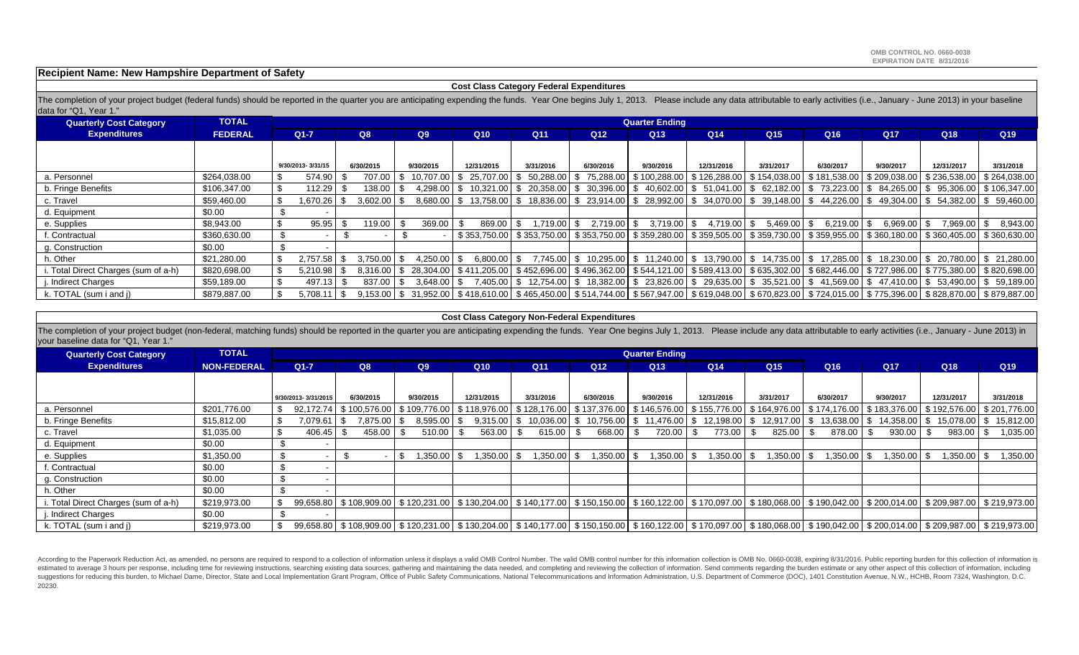**Recipient Name: New Hampshire Department of Safety**

#### **Cost Class Category Federal Expenditures**

The completion of your project budget (federal funds) should be reported in the quarter you are anticipating expending the funds. Year One begins July 1, 2013. Please include any data attributable to early activities (i.e. data for "Q1, Year 1."

| <b>Quarterly Cost Category</b>       | <b>TOTAL</b>   |                      |  |               |           |                 |                  |                 |                 | <b>Quarter Ending</b> |                                                                                                                                                                       |                 |            |               |                                                                                                  |           |
|--------------------------------------|----------------|----------------------|--|---------------|-----------|-----------------|------------------|-----------------|-----------------|-----------------------|-----------------------------------------------------------------------------------------------------------------------------------------------------------------------|-----------------|------------|---------------|--------------------------------------------------------------------------------------------------|-----------|
| <b>Expenditures</b>                  | <b>FEDERAL</b> | Q8<br>$Q1 - 7$<br>Q9 |  |               |           | Q10             | Q <sub>11</sub>  | Q <sub>12</sub> | Q <sub>13</sub> | Q <sub>14</sub>       | Q <sub>15</sub>                                                                                                                                                       | Q <sub>16</sub> | <b>Q17</b> | Q18           | Q <sub>19</sub>                                                                                  |           |
|                                      |                |                      |  |               |           |                 |                  |                 |                 |                       |                                                                                                                                                                       |                 |            |               |                                                                                                  |           |
|                                      |                | 9/30/2013-3/31/15    |  | 6/30/2015     | 9/30/2015 |                 | 12/31/2015       | 3/31/2016       | 6/30/2016       | 9/30/2016             | 12/31/2016                                                                                                                                                            | 3/31/2017       | 6/30/2017  | 9/30/2017     | 12/31/2017                                                                                       | 3/31/2018 |
| a. Personnel                         | \$264,038.00   | 574.90               |  | 707.00        |           | 10.707.00 \$    | 25.707.00        | 50.288.00       | 75.288.00       |                       | \$100,288.00   \$126,288.00   \$154,038.00                                                                                                                            |                 |            |               | \$181,538.00   \$209,038.00   \$236,538.00   \$264,038.00                                        |           |
| b. Fringe Benefits                   | \$106,347.00   | 112.29               |  | 138.00        |           | 4.298.00        | \$10.321.00      | 20.358.00       |                 |                       | $\$\$$ 30,396.00 $\$\$$ 40,602.00 $\$\$$ 51,041.00 $\$\$$ 62,182.00                                                                                                   |                 |            |               | $\frac{1}{2}$ 73,223.00 $\frac{1}{2}$ 84,265.00 $\frac{1}{2}$ 95,306.00 $\frac{1}{2}$ 106,347.00 |           |
| c. Travel                            | \$59,460.00    | \$<br>1.670.26       |  | $3.602.00$ \$ |           |                 |                  |                 |                 |                       | 8.680.00 \ \$ 13,758.00 \ \$ 18,836.00 \ \$ 23,914.00 \ \$ 28,992.00 \ \$ 34,070.00 \ \$ 39,148.00 \ \$ 44,226.00 \ \$ 49,304.00 \ \$ 54,382.00 \ \$ 59,460.00        |                 |            |               |                                                                                                  |           |
| d. Equipment                         | \$0.00         |                      |  |               |           |                 |                  |                 |                 |                       |                                                                                                                                                                       |                 |            |               |                                                                                                  |           |
| e. Supplies                          | \$8,943.00     | 95.95                |  | 119.00        | l \$      | 369.00          | 869.00           | $.719.00$ $$$   | $2.719.00$ \$   | 3,719.00              | 4,719.00 \$<br>- \$                                                                                                                                                   | $5,469.00$ \$   | 6,219.00   | $6,969.00$ \$ | 7,969.00 \$                                                                                      | 8,943.00  |
| f. Contractual                       | \$360,630.00   |                      |  |               |           |                 |                  |                 |                 |                       | \$353,750.00 \$353,750.00 \$353,750.00 \$359,280.00 \$359,505.00 \$359,730.00 \$359,955.00 \$360,180.00 \$360,405.00 \$360,630.00                                     |                 |            |               |                                                                                                  |           |
| g. Construction                      | \$0.00         |                      |  |               |           |                 |                  |                 |                 |                       |                                                                                                                                                                       |                 |            |               |                                                                                                  |           |
| h. Other                             | \$21,280.00    | \$<br>2,757.58       |  | 3.750.00 \$   |           | $4.250.00$ \ \$ | $6.800.00$ $\$\$ |                 |                 |                       | 7,745.00 \$ 10.295.00 \$ 11.240.00 \$ 13.790.00 \$ 14.735.00 \$ 17.285.00 \$ 18.230.00 \$ 20.780.00 \$ 21.280.00                                                      |                 |            |               |                                                                                                  |           |
| i. Total Direct Charges (sum of a-h) | \$820,698.00   | 5.210.98             |  |               |           |                 |                  |                 |                 |                       | 8,316.00 \$777,986.00 \$775,380.00 \$411,205.00 \$452,696.00 \$496,362.00 \$544,121.00 \$589,413.00 \$635,302.00 \$ 682,446.00 \$777,986.00 \$775,380.00 \$820,698.00 |                 |            |               |                                                                                                  |           |
| j. Indirect Charges                  | \$59,189.00    | 497.13               |  | 837.00        | l \$      | $3.648.00$ \ \$ |                  |                 |                 |                       | 7,405.00 \$12,754.00 \$18,382.00 \$23,826.00 \$29,635.00 \$35,521.00 \$41,569.00 \$77,410.00 \$53,490.00 \$59,189.00                                                  |                 |            |               |                                                                                                  |           |
| k. TOTAL (sum i and j)               | \$879,887.00   | 5.708.11             |  |               |           |                 |                  |                 |                 |                       | 9.153.00 \$775.396.00 \$40.877.00 \$465.450.00 \$465.450.00 \$514.744.00 \$667.947.00 \$619.048.00 \$670.823.00 \$724.015.00 \$775.396.00 \$828.870.00 \$779.887.00   |                 |            |               |                                                                                                  |           |

#### **Cost Class Category Non-Federal Expenditures**

The completion of your project budget (non-federal, matching funds) should be reported in the quarter you are anticipating expending the funds. Year One begins July 1, 2013. Please include any data attributable to early ac your baseline data for "Q1, Year 1."

| <b>Quarterly Cost Category</b>      | <b>TOTAL</b>       |                |                     |             |           |               |                 |                                                           |                 |                                                                                                                                                                                   | <b>Quarter Ending</b> |                 |  |                 |  |              |  |               |                                                                                                                         |             |
|-------------------------------------|--------------------|----------------|---------------------|-------------|-----------|---------------|-----------------|-----------------------------------------------------------|-----------------|-----------------------------------------------------------------------------------------------------------------------------------------------------------------------------------|-----------------------|-----------------|--|-----------------|--|--------------|--|---------------|-------------------------------------------------------------------------------------------------------------------------|-------------|
| <b>Expenditures</b>                 | <b>NON-FEDERAL</b> | Q8<br>$Q1 - 7$ |                     | Q9          |           | Q10           | Q <sub>11</sub> |                                                           | Q <sub>12</sub> | Q <sub>13</sub>                                                                                                                                                                   | Q14                   | Q <sub>15</sub> |  | Q <sub>16</sub> |  | <b>Q17</b>   |  | Q18           | Q <sub>19</sub>                                                                                                         |             |
|                                     |                    |                |                     |             |           |               |                 |                                                           |                 |                                                                                                                                                                                   |                       |                 |  |                 |  |              |  |               |                                                                                                                         |             |
|                                     |                    |                | 9/30/2013-3/31/2015 | 6/30/2015   | 9/30/2015 |               | 12/31/2015      | 3/31/2016                                                 |                 | 6/30/2016                                                                                                                                                                         | 9/30/2016             | 12/31/2016      |  | 3/31/2017       |  | 6/30/2017    |  | 9/30/2017     | 12/31/2017                                                                                                              | 3/31/2018   |
| a. Personnel                        | \$201,776.00       | \$             | 92.172.74           |             |           |               |                 | \$100,576.00   \$109,776.00   \$118,976.00   \$128,176.00 |                 | │ \$ 137,376.00│ \$ 146,576.00│ \$ 155,776.00│ \$ 164,976.00│ \$ 174,176.00│ \$ 183,376.00│ \$ 192,576.00│ \$ 201,776.00                                                          |                       |                 |  |                 |  |              |  |               |                                                                                                                         |             |
| b. Fringe Benefits                  | \$15,812.00        | S.             | 7,079.61            | 7,875.00 \$ |           | $8,595.00$ \$ | 9,315.00        |                                                           |                 | 10,036.00   \$ 10,756.00   \$ 11,476.00                                                                                                                                           |                       |                 |  |                 |  |              |  |               | $\frac{1}{3}$ 12,198.00 $\frac{1}{3}$ 12,917.00 $\frac{1}{3}$ 13,638.00 $\frac{1}{3}$ 14,358.00 $\frac{1}{3}$ 15,078.00 | \$15,812.00 |
| c. Travel                           | \$1,035.00         |                | 406.45              | 458.00      |           | 510.00        | 563.00          | 615.00                                                    |                 | 668.00                                                                                                                                                                            | 720.00                | 773.00          |  | 825.00          |  | 878.00       |  | 930.00        | $983.00$ \ \$                                                                                                           | 1,035.00    |
| d. Equipment                        | \$0.00             |                |                     |             |           |               |                 |                                                           |                 |                                                                                                                                                                                   |                       |                 |  |                 |  |              |  |               |                                                                                                                         |             |
| e. Supplies                         | \$1,350.00         |                |                     |             | \$        | .350.00       | ,350.00         |                                                           | 8   350.00.     | $1,350.00$ \$                                                                                                                                                                     | $1,350.00$ \$         | 8   350.00.     |  | 1,350.00 \$     |  | $.350.00$ \$ |  | $1.350.00$ \$ | $1,350.00$ \$                                                                                                           | 1,350.00    |
| f. Contractual                      | \$0.00             |                |                     |             |           |               |                 |                                                           |                 |                                                                                                                                                                                   |                       |                 |  |                 |  |              |  |               |                                                                                                                         |             |
| g. Construction                     | \$0.00             |                |                     |             |           |               |                 |                                                           |                 |                                                                                                                                                                                   |                       |                 |  |                 |  |              |  |               |                                                                                                                         |             |
| h. Other                            | \$0.00             |                |                     |             |           |               |                 |                                                           |                 |                                                                                                                                                                                   |                       |                 |  |                 |  |              |  |               |                                                                                                                         |             |
| . Total Direct Charges (sum of a-h) | \$219,973.00       | \$             |                     |             |           |               |                 |                                                           |                 | 99,658.80 \$ 108,909.00 \$ 120,231.00 \$ 130,204.00 \$ 140,177.00 \$ 150,150.00 \$ 160,122.00 \$ 170,097.00 \$ 180,068.00 \$ 190,042.00 \$ 200,014.00 \$ 209,987.00 \$ 219,973.00 |                       |                 |  |                 |  |              |  |               |                                                                                                                         |             |
| . Indirect Charges                  | \$0.00             |                |                     |             |           |               |                 |                                                           |                 |                                                                                                                                                                                   |                       |                 |  |                 |  |              |  |               |                                                                                                                         |             |
| k. TOTAL (sum i and j)              | \$219,973.00       |                |                     |             |           |               |                 |                                                           |                 | 99,658.80 \$108,909.00 \$120,231.00 \$130,204.00 \$140,177.00 \$150,150.00 \$160,122.00 \$170,097.00 \$180,068.00 \$190,042.00 \$200,014.00 \$209,987.00 \$219,973.00             |                       |                 |  |                 |  |              |  |               |                                                                                                                         |             |

According to the Paperwork Reduction Act, as amended, no persons are required to respond to a collection of information unless it displays a valid OMB Control Number. The valid OMB control number for this information colle estimated to average 3 hours per response, including time for reviewing instructions, searching existing data sources, gathering and maintaining the data needed, and completing and reviewing the collection of information. suggestions for reducing this burden, to Michael Dame, Director, State and Local Implementation Grant Program, Office of Public Safety Communications, National Telecommunications and Information Administration, U.S. Depart 20230.